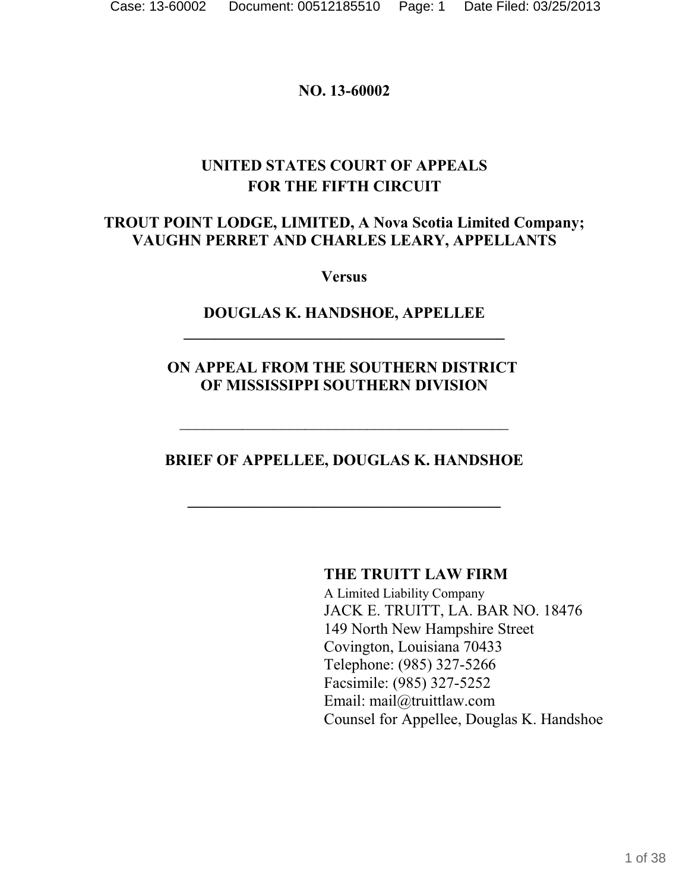#### **NO. 13-60002**

# **UNITED STATES COURT OF APPEALS FOR THE FIFTH CIRCUIT**

## **TROUT POINT LODGE, LIMITED, A Nova Scotia Limited Company; VAUGHN PERRET AND CHARLES LEARY, APPELLANTS**

**Versus**

## **DOUGLAS K. HANDSHOE, APPELLEE \_\_\_\_\_\_\_\_\_\_\_\_\_\_\_\_\_\_\_\_\_\_\_\_\_\_\_\_\_\_\_\_\_\_\_\_\_\_\_\_\_**

## **ON APPEAL FROM THE SOUTHERN DISTRICT OF MISSISSIPPI SOUTHERN DIVISION**

## **BRIEF OF APPELLEE, DOUGLAS K. HANDSHOE**

**\_\_\_\_\_\_\_\_\_\_\_\_\_\_\_\_\_\_\_\_\_\_\_\_\_\_\_\_\_\_\_\_\_\_\_\_\_\_\_\_**

 $\mathcal{L}_\mathcal{L}$  , which is a set of the set of the set of the set of the set of the set of the set of the set of the set of the set of the set of the set of the set of the set of the set of the set of the set of the set of

**THE TRUITT LAW FIRM**

A Limited Liability Company JACK E. TRUITT, LA. BAR NO. 18476 149 North New Hampshire Street Covington, Louisiana 70433 Telephone: (985) 327-5266 Facsimile: (985) 327-5252 Email: mail@truittlaw.com Counsel for Appellee, Douglas K. Handshoe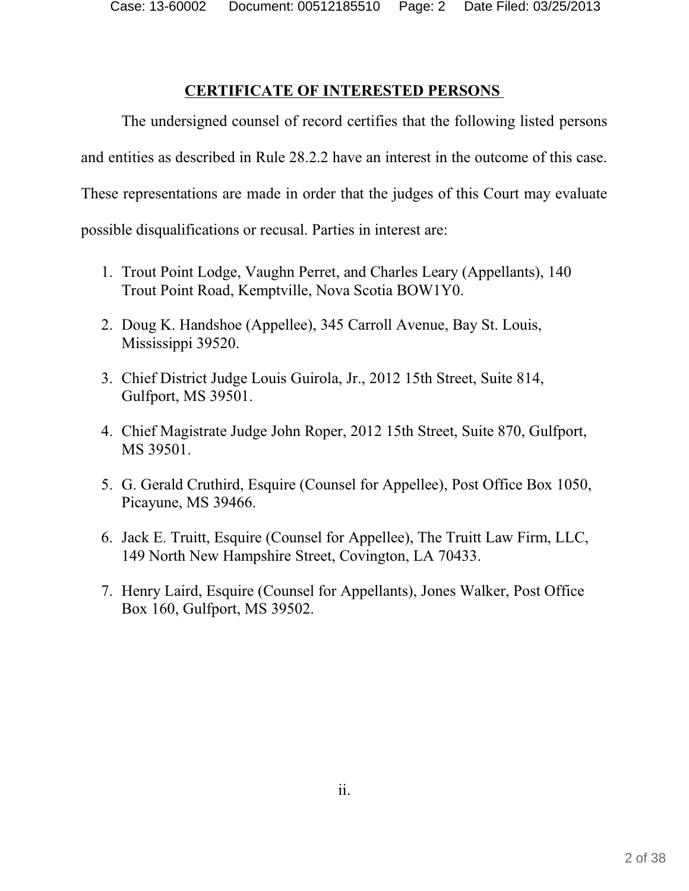Case: 13-60002 Document: 00512185510 Page: 2 Date Filed: 03/25/2013

#### **CERTIFICATE OF INTERESTED PERSONS**

The undersigned counsel of record certifies that the following listed persons and entities as described in Rule 28.2.2 have an interest in the outcome of this case. These representations are made in order that the judges of this Court may evaluate possible disqualifications or recusal. Parties in interest are:

- 1. Trout Point Lodge, Vaughn Perret, and Charles Leary (Appellants), 140 Trout Point Road, Kemptville, Nova Scotia BOW1Y0.
- 2. Doug K. Handshoe (Appellee), 345 Carroll Avenue, Bay St. Louis, Mississippi 39520.
- 3. Chief District Judge Louis Guirola, Jr., 2012 15th Street, Suite 814, Gulfport, MS 39501.
- 4. Chief Magistrate Judge John Roper, 2012 15th Street, Suite 870, Gulfport, MS 39501.
- 5. G. Gerald Cruthird, Esquire (Counsel for Appellee), Post Office Box 1050, Picayune, MS 39466.
- 6. Jack E. Truitt, Esquire (Counsel for Appellee), The Truitt Law Firm, LLC, 149 North New Hampshire Street, Covington, LA 70433.
- 7. Henry Laird, Esquire (Counsel for Appellants), Jones Walker, Post Office Box 160, Gulfport, MS 39502.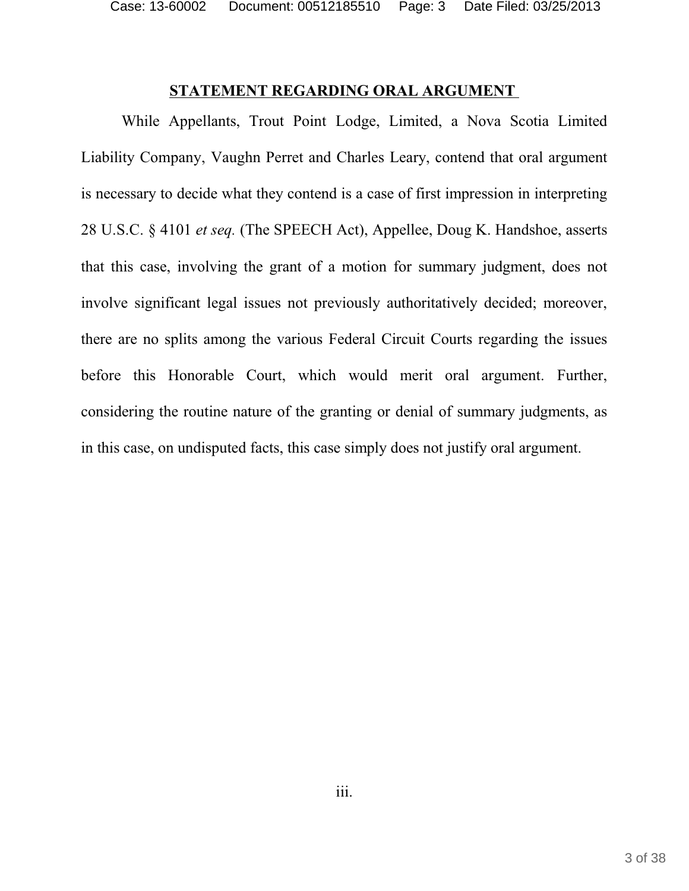Case: 13-60002 Document: 00512185510 Page: 3 Date Filed: 03/25/2013

#### **STATEMENT REGARDING ORAL ARGUMENT**

While Appellants, Trout Point Lodge, Limited, a Nova Scotia Limited Liability Company, Vaughn Perret and Charles Leary, contend that oral argument is necessary to decide what they contend is a case of first impression in interpreting 28 U.S.C. § 4101 *et seq.* (The SPEECH Act), Appellee, Doug K. Handshoe, asserts that this case, involving the grant of a motion for summary judgment, does not involve significant legal issues not previously authoritatively decided; moreover, there are no splits among the various Federal Circuit Courts regarding the issues before this Honorable Court, which would merit oral argument. Further, considering the routine nature of the granting or denial of summary judgments, as in this case, on undisputed facts, this case simply does not justify oral argument.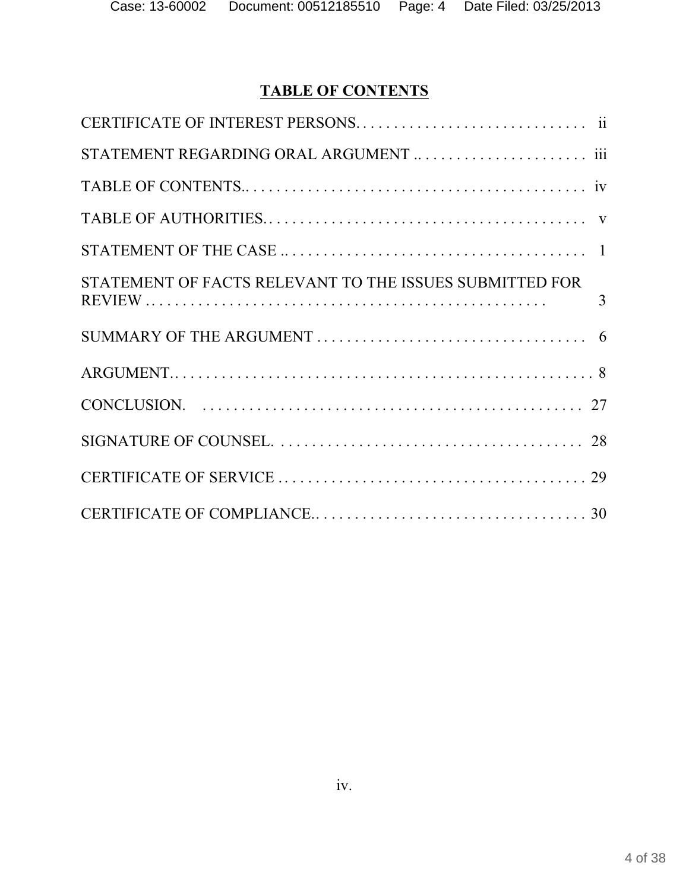# **TABLE OF CONTENTS**

| STATEMENT OF FACTS RELEVANT TO THE ISSUES SUBMITTED FOR |
|---------------------------------------------------------|
|                                                         |
|                                                         |
|                                                         |
|                                                         |
|                                                         |
|                                                         |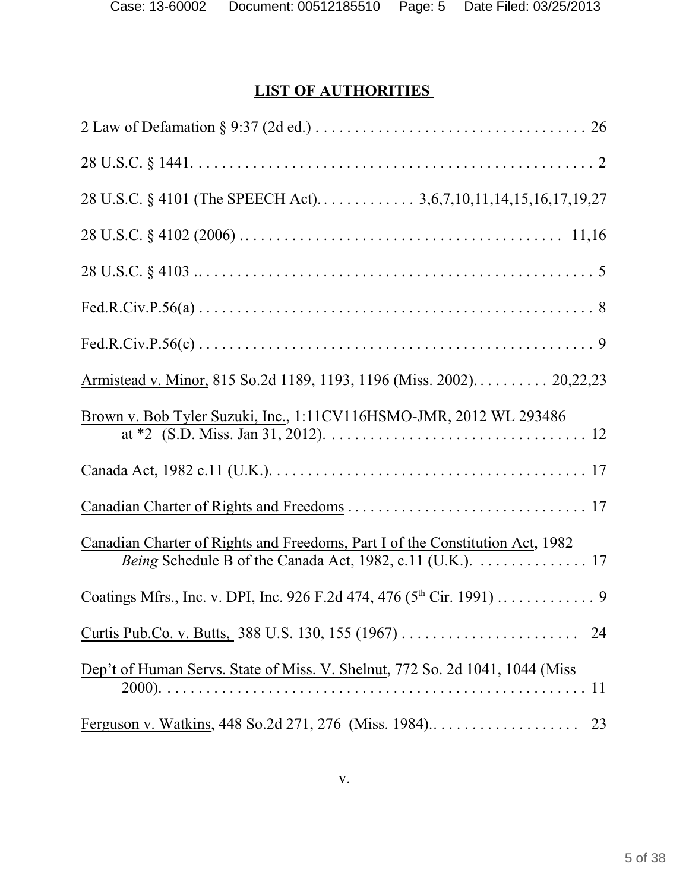# **LIST OF AUTHORITIES**

| Armistead v. Minor, 815 So.2d 1189, 1193, 1196 (Miss. 2002) 20,22,23                                                                       |
|--------------------------------------------------------------------------------------------------------------------------------------------|
| Brown v. Bob Tyler Suzuki, Inc., 1:11CV116HSMO-JMR, 2012 WL 293486                                                                         |
|                                                                                                                                            |
|                                                                                                                                            |
| Canadian Charter of Rights and Freedoms, Part I of the Constitution Act, 1982<br>Being Schedule B of the Canada Act, 1982, c.11 (U.K.). 17 |
|                                                                                                                                            |
|                                                                                                                                            |
| Dep't of Human Servs. State of Miss. V. Shelnut, 772 So. 2d 1041, 1044 (Miss                                                               |
| 23                                                                                                                                         |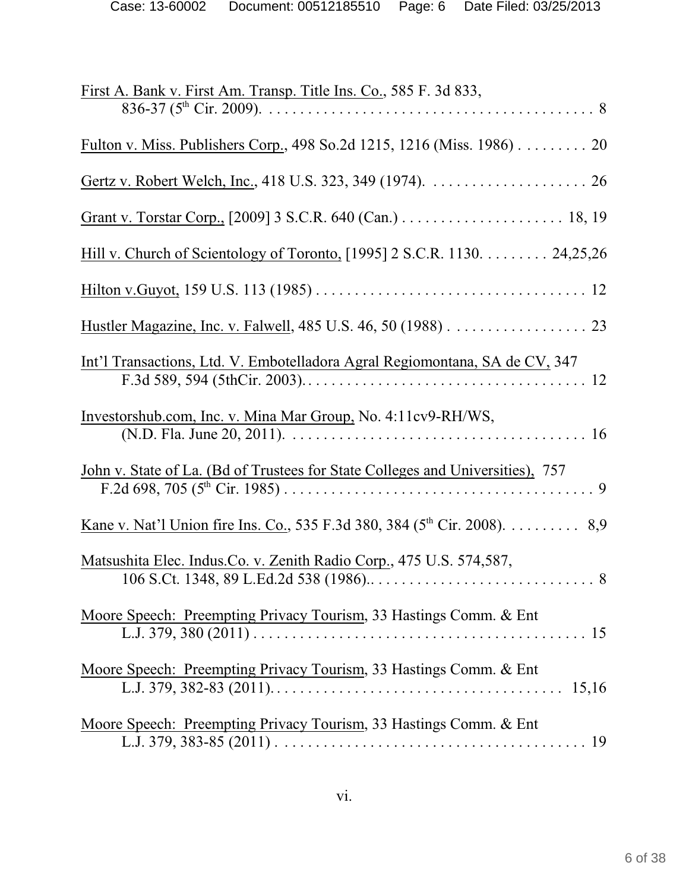| First A. Bank v. First Am. Transp. Title Ins. Co., 585 F. 3d 833,                                                                                                                                       |
|---------------------------------------------------------------------------------------------------------------------------------------------------------------------------------------------------------|
| Fulton v. Miss. Publishers Corp., 498 So.2d 1215, 1216 (Miss. 1986) 20                                                                                                                                  |
|                                                                                                                                                                                                         |
|                                                                                                                                                                                                         |
| Hill v. Church of Scientology of Toronto, [1995] 2 S.C.R. 1130. 24,25,26                                                                                                                                |
|                                                                                                                                                                                                         |
|                                                                                                                                                                                                         |
| Int'l Transactions, Ltd. V. Embotelladora Agral Regiomontana, SA de CV, 347<br>F.3d 589, 594 (5thCir. 2003). $\ldots$ . $\ldots$ . $\ldots$ . $\ldots$ . $\ldots$ . $\ldots$ . $\ldots$ . $\ldots$ . 12 |
| Investorshub.com, Inc. v. Mina Mar Group, No. 4:11cv9-RH/WS,                                                                                                                                            |
| John v. State of La. (Bd of Trustees for State Colleges and Universities), 757                                                                                                                          |
| <u>Kane v. Nat'l Union fire Ins. Co.</u> , 535 F.3d 380, 384 ( $5^{th}$ Cir. 2008). 8,9                                                                                                                 |
| Matsushita Elec. Indus.Co. v. Zenith Radio Corp., 475 U.S. 574,587,                                                                                                                                     |
| Moore Speech: Preempting Privacy Tourism, 33 Hastings Comm. & Ent                                                                                                                                       |
| Moore Speech: Preempting Privacy Tourism, 33 Hastings Comm. & Ent                                                                                                                                       |
| Moore Speech: Preempting Privacy Tourism, 33 Hastings Comm. & Ent                                                                                                                                       |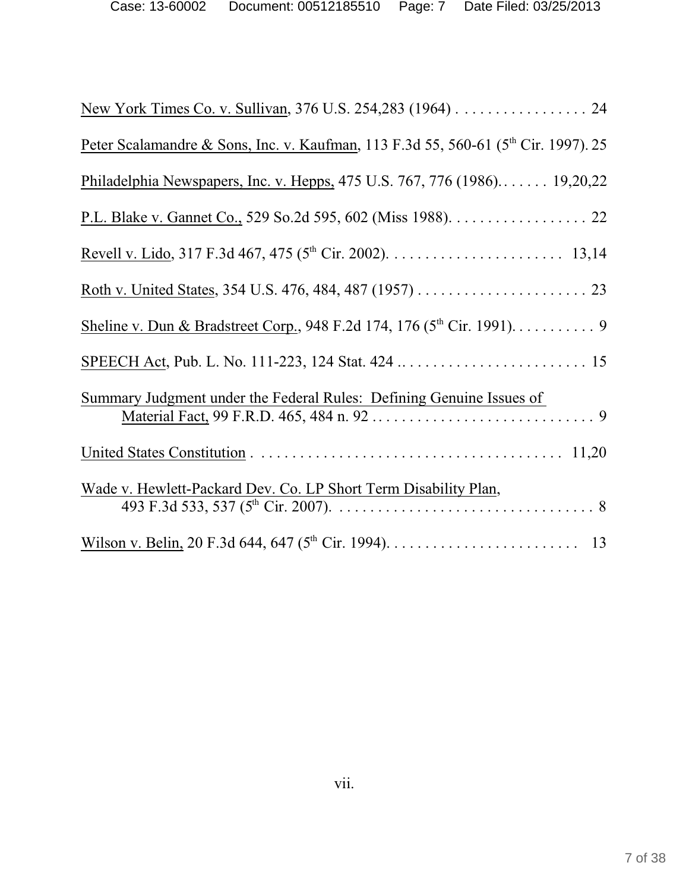| New York Times Co. v. Sullivan, 376 U.S. 254,283 (1964). 24                                    |
|------------------------------------------------------------------------------------------------|
| Peter Scalamandre & Sons, Inc. v. Kaufman, 113 F.3d 55, 560-61 (5 <sup>th</sup> Cir. 1997). 25 |
| Philadelphia Newspapers, Inc. v. Hepps, 475 U.S. 767, 776 (1986) 19,20,22                      |
|                                                                                                |
|                                                                                                |
|                                                                                                |
|                                                                                                |
|                                                                                                |
| Summary Judgment under the Federal Rules: Defining Genuine Issues of                           |
|                                                                                                |
| Wade v. Hewlett-Packard Dev. Co. LP Short Term Disability Plan,                                |
|                                                                                                |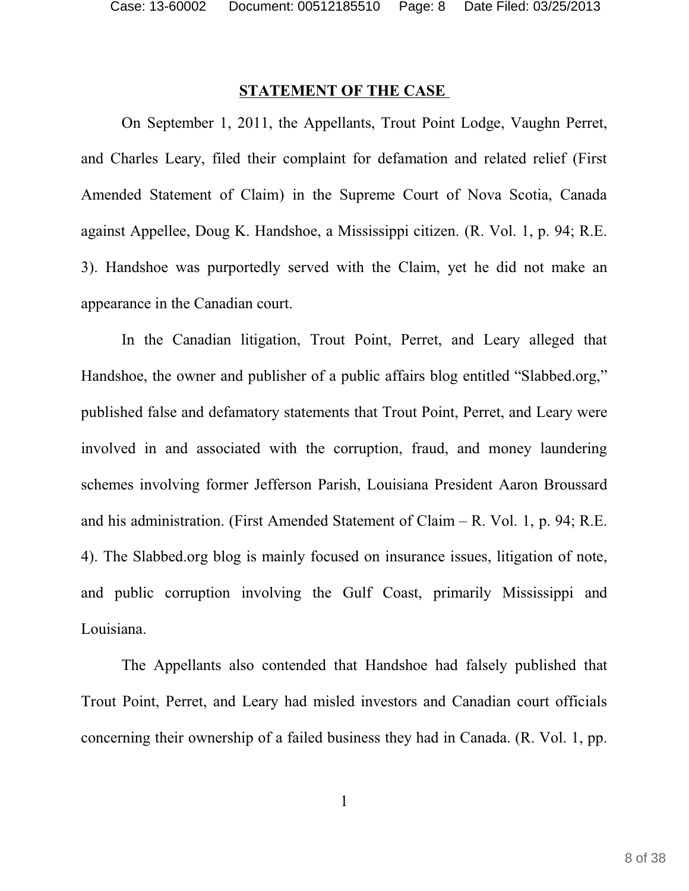#### **STATEMENT OF THE CASE**

On September 1, 2011, the Appellants, Trout Point Lodge, Vaughn Perret, and Charles Leary, filed their complaint for defamation and related relief (First Amended Statement of Claim) in the Supreme Court of Nova Scotia, Canada against Appellee, Doug K. Handshoe, a Mississippi citizen. (R. Vol. 1, p. 94; R.E. 3). Handshoe was purportedly served with the Claim, yet he did not make an appearance in the Canadian court.

In the Canadian litigation, Trout Point, Perret, and Leary alleged that Handshoe, the owner and publisher of a public affairs blog entitled "Slabbed.org," published false and defamatory statements that Trout Point, Perret, and Leary were involved in and associated with the corruption, fraud, and money laundering schemes involving former Jefferson Parish, Louisiana President Aaron Broussard and his administration. (First Amended Statement of Claim – R. Vol. 1, p. 94; R.E. 4). The Slabbed.org blog is mainly focused on insurance issues, litigation of note, and public corruption involving the Gulf Coast, primarily Mississippi and Louisiana.

The Appellants also contended that Handshoe had falsely published that Trout Point, Perret, and Leary had misled investors and Canadian court officials concerning their ownership of a failed business they had in Canada. (R. Vol. 1, pp.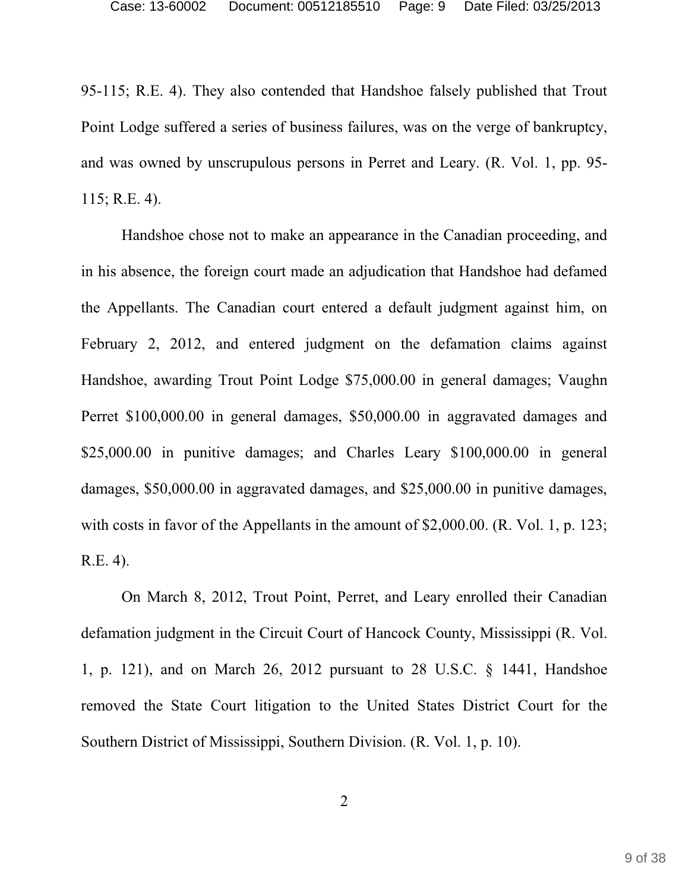95-115; R.E. 4). They also contended that Handshoe falsely published that Trout Point Lodge suffered a series of business failures, was on the verge of bankruptcy, and was owned by unscrupulous persons in Perret and Leary. (R. Vol. 1, pp. 95- 115; R.E. 4).

Handshoe chose not to make an appearance in the Canadian proceeding, and in his absence, the foreign court made an adjudication that Handshoe had defamed the Appellants. The Canadian court entered a default judgment against him, on February 2, 2012, and entered judgment on the defamation claims against Handshoe, awarding Trout Point Lodge \$75,000.00 in general damages; Vaughn Perret \$100,000.00 in general damages, \$50,000.00 in aggravated damages and \$25,000.00 in punitive damages; and Charles Leary \$100,000.00 in general damages, \$50,000.00 in aggravated damages, and \$25,000.00 in punitive damages, with costs in favor of the Appellants in the amount of \$2,000.00. (R. Vol. 1, p. 123; R.E. 4).

On March 8, 2012, Trout Point, Perret, and Leary enrolled their Canadian defamation judgment in the Circuit Court of Hancock County, Mississippi (R. Vol. 1, p. 121), and on March 26, 2012 pursuant to 28 U.S.C. § 1441, Handshoe removed the State Court litigation to the United States District Court for the Southern District of Mississippi, Southern Division. (R. Vol. 1, p. 10).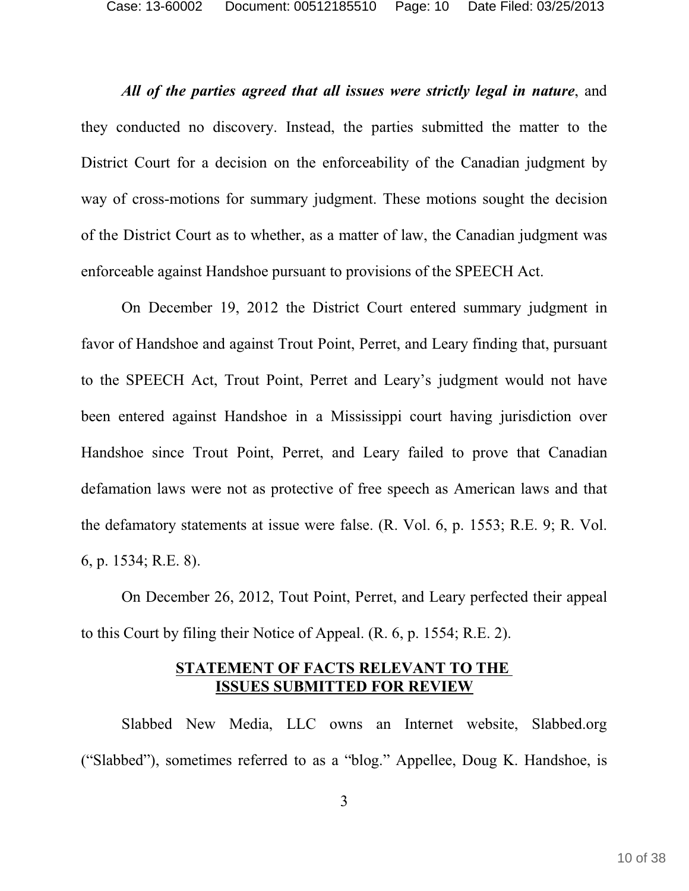*All of the parties agreed that all issues were strictly legal in nature*, and they conducted no discovery. Instead, the parties submitted the matter to the District Court for a decision on the enforceability of the Canadian judgment by way of cross-motions for summary judgment. These motions sought the decision of the District Court as to whether, as a matter of law, the Canadian judgment was enforceable against Handshoe pursuant to provisions of the SPEECH Act.

On December 19, 2012 the District Court entered summary judgment in favor of Handshoe and against Trout Point, Perret, and Leary finding that, pursuant to the SPEECH Act, Trout Point, Perret and Leary's judgment would not have been entered against Handshoe in a Mississippi court having jurisdiction over Handshoe since Trout Point, Perret, and Leary failed to prove that Canadian defamation laws were not as protective of free speech as American laws and that the defamatory statements at issue were false. (R. Vol. 6, p. 1553; R.E. 9; R. Vol. 6, p. 1534; R.E. 8).

On December 26, 2012, Tout Point, Perret, and Leary perfected their appeal to this Court by filing their Notice of Appeal. (R. 6, p. 1554; R.E. 2).

#### **STATEMENT OF FACTS RELEVANT TO THE ISSUES SUBMITTED FOR REVIEW**

Slabbed New Media, LLC owns an Internet website, Slabbed.org ("Slabbed"), sometimes referred to as a "blog." Appellee, Doug K. Handshoe, is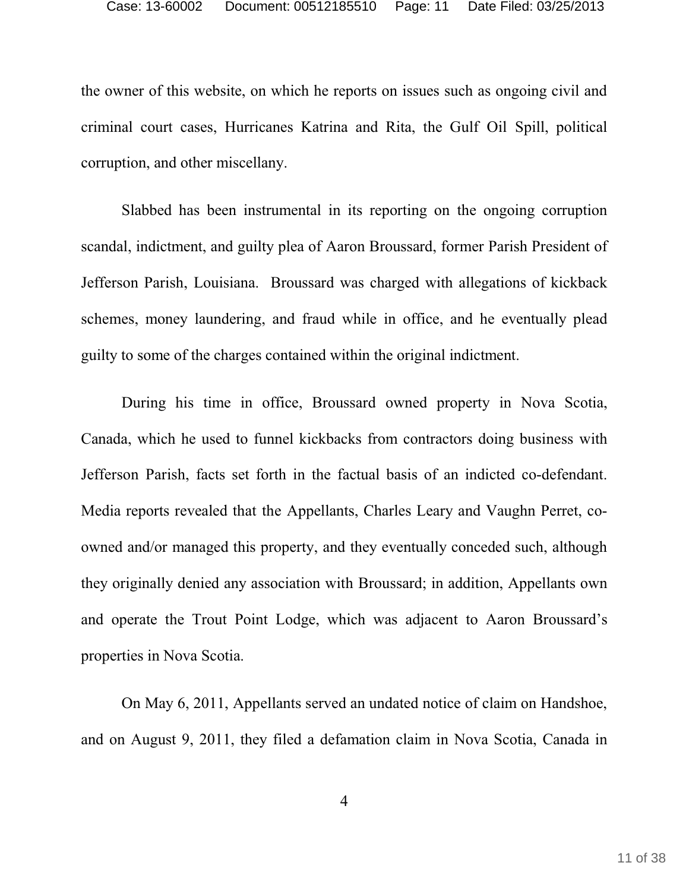the owner of this website, on which he reports on issues such as ongoing civil and criminal court cases, Hurricanes Katrina and Rita, the Gulf Oil Spill, political corruption, and other miscellany.

Slabbed has been instrumental in its reporting on the ongoing corruption scandal, indictment, and guilty plea of Aaron Broussard, former Parish President of Jefferson Parish, Louisiana. Broussard was charged with allegations of kickback schemes, money laundering, and fraud while in office, and he eventually plead guilty to some of the charges contained within the original indictment.

During his time in office, Broussard owned property in Nova Scotia, Canada, which he used to funnel kickbacks from contractors doing business with Jefferson Parish, facts set forth in the factual basis of an indicted co-defendant. Media reports revealed that the Appellants, Charles Leary and Vaughn Perret, coowned and/or managed this property, and they eventually conceded such, although they originally denied any association with Broussard; in addition, Appellants own and operate the Trout Point Lodge, which was adjacent to Aaron Broussard's properties in Nova Scotia.

On May 6, 2011, Appellants served an undated notice of claim on Handshoe, and on August 9, 2011, they filed a defamation claim in Nova Scotia, Canada in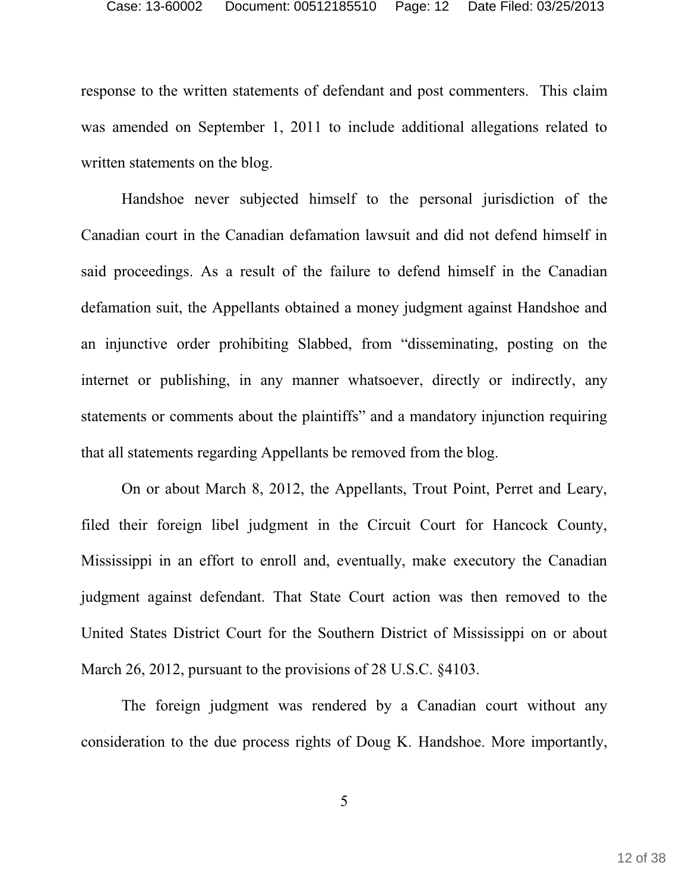response to the written statements of defendant and post commenters. This claim was amended on September 1, 2011 to include additional allegations related to written statements on the blog.

Handshoe never subjected himself to the personal jurisdiction of the Canadian court in the Canadian defamation lawsuit and did not defend himself in said proceedings. As a result of the failure to defend himself in the Canadian defamation suit, the Appellants obtained a money judgment against Handshoe and an injunctive order prohibiting Slabbed, from "disseminating, posting on the internet or publishing, in any manner whatsoever, directly or indirectly, any statements or comments about the plaintiffs" and a mandatory injunction requiring that all statements regarding Appellants be removed from the blog.

On or about March 8, 2012, the Appellants, Trout Point, Perret and Leary, filed their foreign libel judgment in the Circuit Court for Hancock County, Mississippi in an effort to enroll and, eventually, make executory the Canadian judgment against defendant. That State Court action was then removed to the United States District Court for the Southern District of Mississippi on or about March 26, 2012, pursuant to the provisions of 28 U.S.C. §4103.

The foreign judgment was rendered by a Canadian court without any consideration to the due process rights of Doug K. Handshoe. More importantly,

5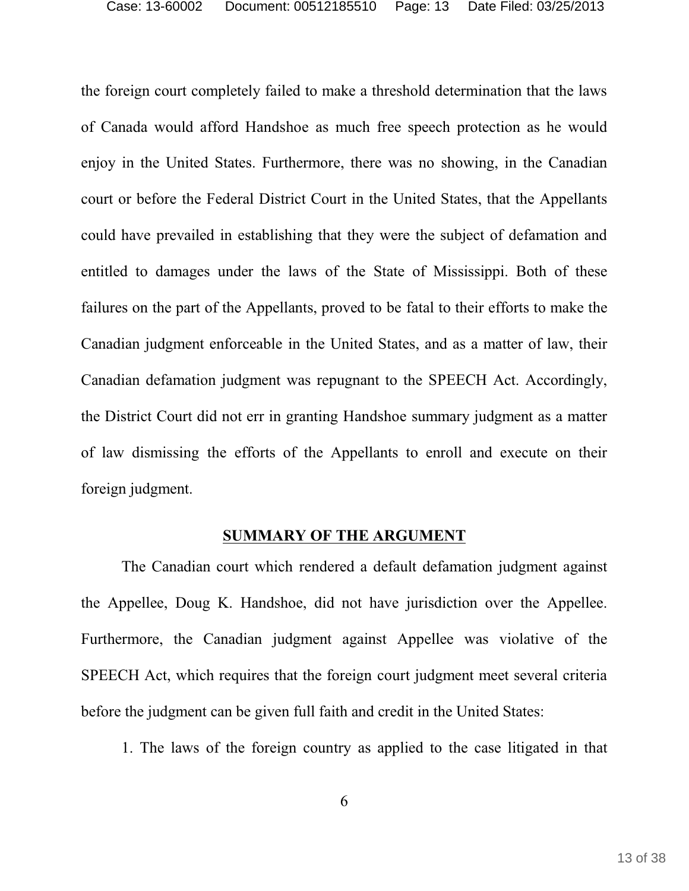the foreign court completely failed to make a threshold determination that the laws of Canada would afford Handshoe as much free speech protection as he would enjoy in the United States. Furthermore, there was no showing, in the Canadian court or before the Federal District Court in the United States, that the Appellants could have prevailed in establishing that they were the subject of defamation and entitled to damages under the laws of the State of Mississippi. Both of these failures on the part of the Appellants, proved to be fatal to their efforts to make the Canadian judgment enforceable in the United States, and as a matter of law, their Canadian defamation judgment was repugnant to the SPEECH Act. Accordingly, the District Court did not err in granting Handshoe summary judgment as a matter of law dismissing the efforts of the Appellants to enroll and execute on their foreign judgment.

#### **SUMMARY OF THE ARGUMENT**

The Canadian court which rendered a default defamation judgment against the Appellee, Doug K. Handshoe, did not have jurisdiction over the Appellee. Furthermore, the Canadian judgment against Appellee was violative of the SPEECH Act, which requires that the foreign court judgment meet several criteria before the judgment can be given full faith and credit in the United States:

1. The laws of the foreign country as applied to the case litigated in that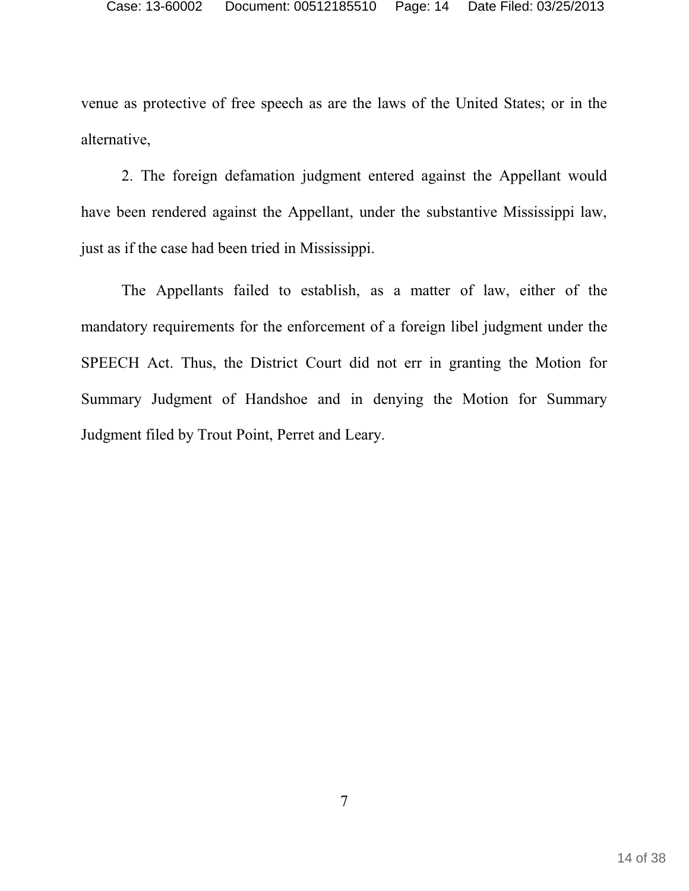venue as protective of free speech as are the laws of the United States; or in the alternative,

2. The foreign defamation judgment entered against the Appellant would have been rendered against the Appellant, under the substantive Mississippi law, just as if the case had been tried in Mississippi.

The Appellants failed to establish, as a matter of law, either of the mandatory requirements for the enforcement of a foreign libel judgment under the SPEECH Act. Thus, the District Court did not err in granting the Motion for Summary Judgment of Handshoe and in denying the Motion for Summary Judgment filed by Trout Point, Perret and Leary.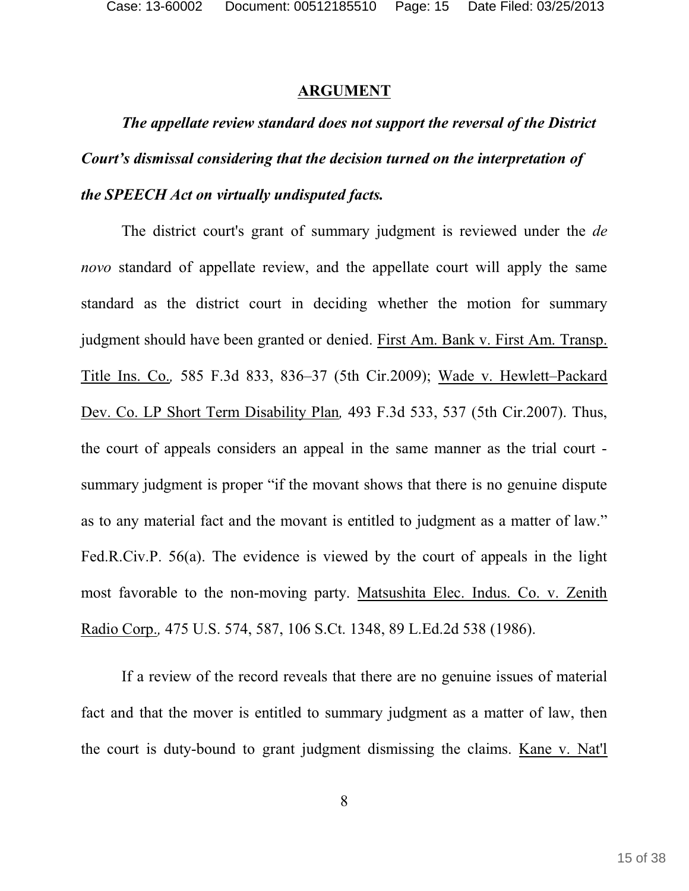#### **ARGUMENT**

*The appellate review standard does not support the reversal of the District Court's dismissal considering that the decision turned on the interpretation of the SPEECH Act on virtually undisputed facts.* 

The district court's grant of summary judgment is reviewed under the *de novo* standard of appellate review, and the appellate court will apply the same standard as the district court in deciding whether the motion for summary judgment should have been granted or denied. First Am. Bank v. First Am. Transp. Title Ins. Co.*,* 585 F.3d 833, 836–37 (5th Cir.2009); Wade v. Hewlett–Packard Dev. Co. LP Short Term Disability Plan*,* 493 F.3d 533, 537 (5th Cir.2007). Thus, the court of appeals considers an appeal in the same manner as the trial court summary judgment is proper "if the movant shows that there is no genuine dispute as to any material fact and the movant is entitled to judgment as a matter of law." Fed.R.Civ.P. 56(a). The evidence is viewed by the court of appeals in the light most favorable to the non-moving party. Matsushita Elec. Indus. Co. v. Zenith Radio Corp.*,* 475 U.S. 574, 587, 106 S.Ct. 1348, 89 L.Ed.2d 538 (1986).

If a review of the record reveals that there are no genuine issues of material fact and that the mover is entitled to summary judgment as a matter of law, then the court is duty-bound to grant judgment dismissing the claims. Kane v. Nat'l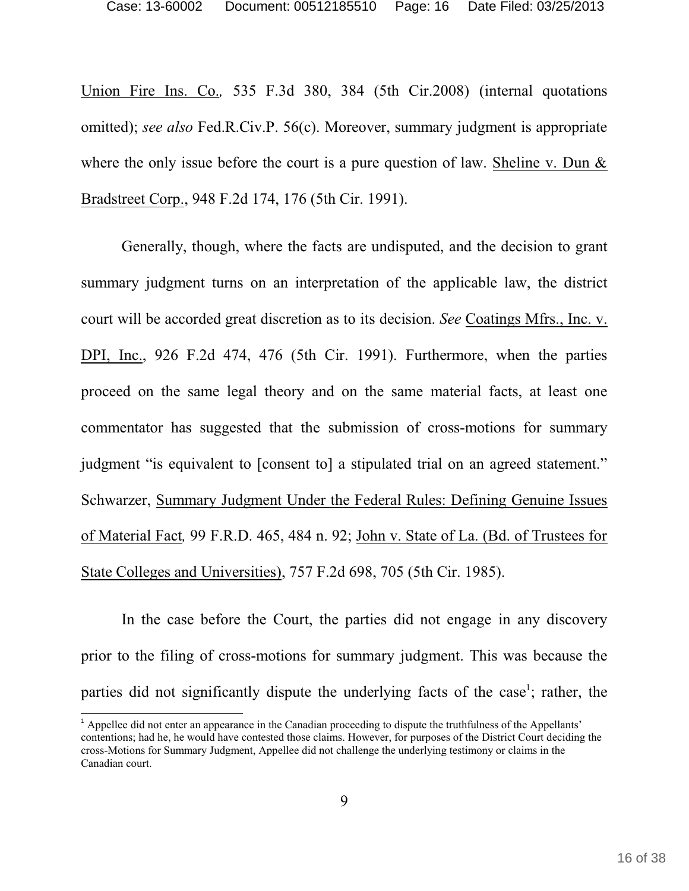Union Fire Ins. Co.*,* 535 F.3d 380, 384 (5th Cir.2008) (internal quotations omitted); *see also* Fed.R.Civ.P. 56(c). Moreover, summary judgment is appropriate where the only issue before the court is a pure question of law. Sheline v. Dun & Bradstreet Corp., 948 F.2d 174, 176 (5th Cir. 1991).

Generally, though, where the facts are undisputed, and the decision to grant summary judgment turns on an interpretation of the applicable law, the district court will be accorded great discretion as to its decision. *See* Coatings Mfrs., Inc. v. DPI, Inc., 926 F.2d 474, 476 (5th Cir. 1991). Furthermore, when the parties proceed on the same legal theory and on the same material facts, at least one commentator has suggested that the submission of cross-motions for summary judgment "is equivalent to [consent to] a stipulated trial on an agreed statement." Schwarzer, Summary Judgment Under the Federal Rules: Defining Genuine Issues of Material Fact*,* 99 F.R.D. 465, 484 n. 92; John v. State of La. (Bd. of Trustees for State Colleges and Universities), 757 F.2d 698, 705 (5th Cir. 1985).

In the case before the Court, the parties did not engage in any discovery prior to the filing of cross-motions for summary judgment. This was because the parties did not significantly dispute the underlying facts of the case<sup>1</sup>; rather, the

 $^1$  Appellee did not enter an appearance in the Canadian proceeding to dispute the truthfulness of the Appellants' contentions; had he, he would have contested those claims. However, for purposes of the District Court deciding the cross-Motions for Summary Judgment, Appellee did not challenge the underlying testimony or claims in the Canadian court.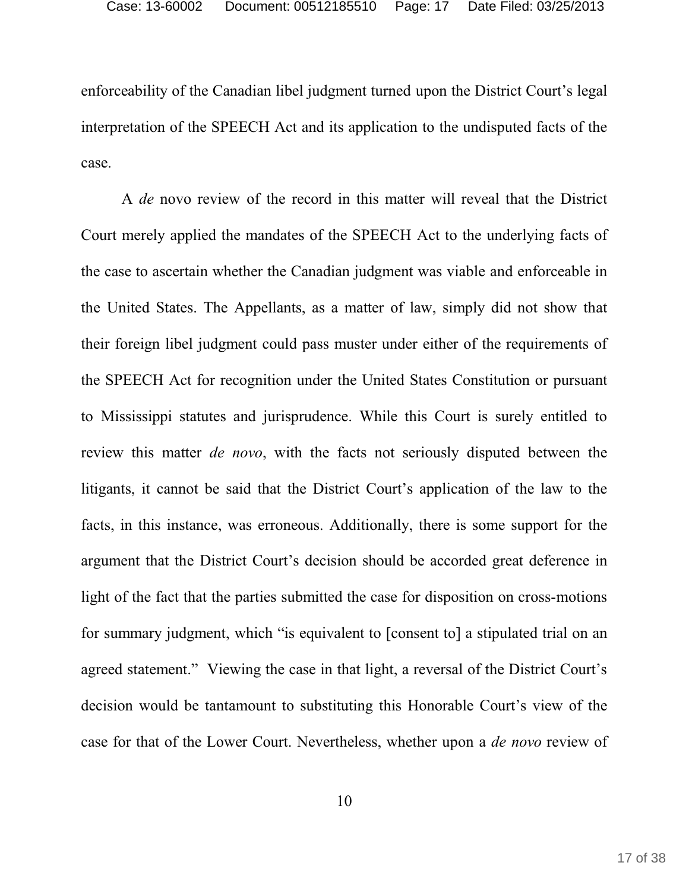enforceability of the Canadian libel judgment turned upon the District Court's legal interpretation of the SPEECH Act and its application to the undisputed facts of the case.

A *de* novo review of the record in this matter will reveal that the District Court merely applied the mandates of the SPEECH Act to the underlying facts of the case to ascertain whether the Canadian judgment was viable and enforceable in the United States. The Appellants, as a matter of law, simply did not show that their foreign libel judgment could pass muster under either of the requirements of the SPEECH Act for recognition under the United States Constitution or pursuant to Mississippi statutes and jurisprudence. While this Court is surely entitled to review this matter *de novo*, with the facts not seriously disputed between the litigants, it cannot be said that the District Court's application of the law to the facts, in this instance, was erroneous. Additionally, there is some support for the argument that the District Court's decision should be accorded great deference in light of the fact that the parties submitted the case for disposition on cross-motions for summary judgment, which "is equivalent to [consent to] a stipulated trial on an agreed statement." Viewing the case in that light, a reversal of the District Court's decision would be tantamount to substituting this Honorable Court's view of the case for that of the Lower Court. Nevertheless, whether upon a *de novo* review of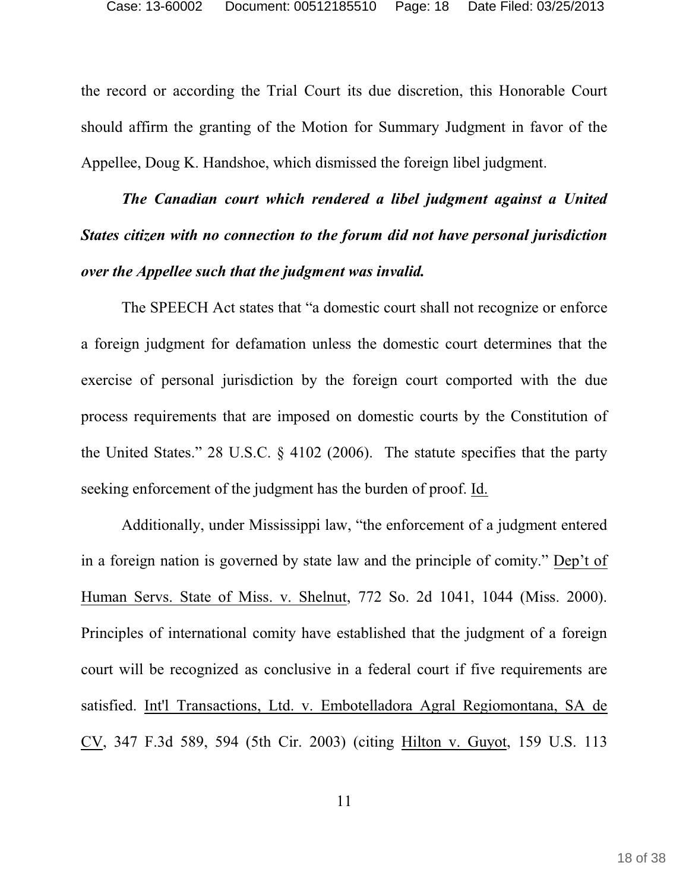the record or according the Trial Court its due discretion, this Honorable Court should affirm the granting of the Motion for Summary Judgment in favor of the Appellee, Doug K. Handshoe, which dismissed the foreign libel judgment.

*The Canadian court which rendered a libel judgment against a United States citizen with no connection to the forum did not have personal jurisdiction over the Appellee such that the judgment was invalid.* 

The SPEECH Act states that "a domestic court shall not recognize or enforce a foreign judgment for defamation unless the domestic court determines that the exercise of personal jurisdiction by the foreign court comported with the due process requirements that are imposed on domestic courts by the Constitution of the United States." 28 U.S.C. § 4102 (2006). The statute specifies that the party seeking enforcement of the judgment has the burden of proof. Id.

Additionally, under Mississippi law, "the enforcement of a judgment entered in a foreign nation is governed by state law and the principle of comity." Dep't of Human Servs. State of Miss. v. Shelnut, 772 So. 2d 1041, 1044 (Miss. 2000). Principles of international comity have established that the judgment of a foreign court will be recognized as conclusive in a federal court if five requirements are satisfied. Int'l Transactions, Ltd. v. Embotelladora Agral Regiomontana, SA de CV, 347 F.3d 589, 594 (5th Cir. 2003) (citing Hilton v. Guyot, 159 U.S. 113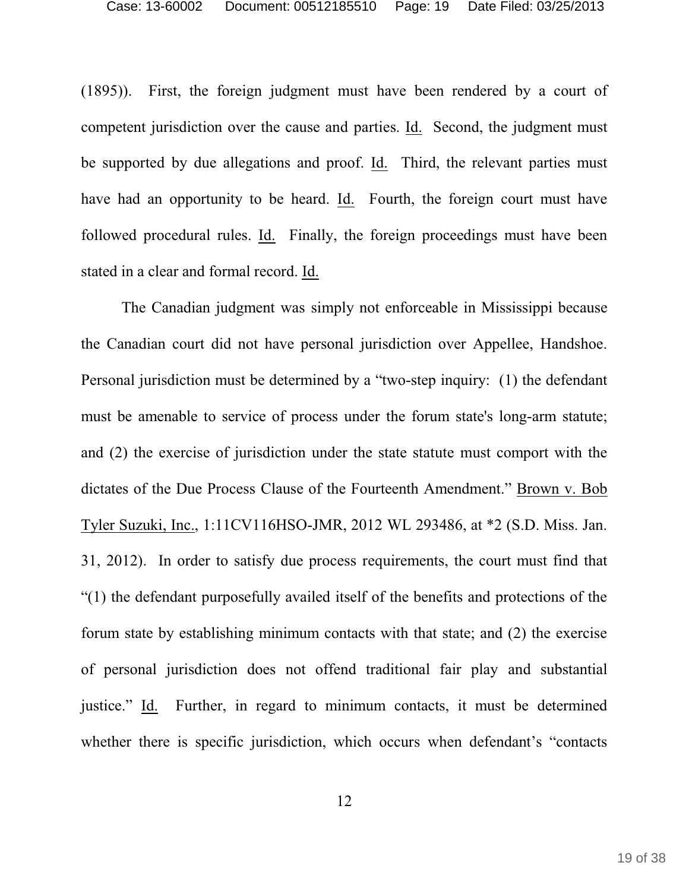(1895)). First, the foreign judgment must have been rendered by a court of competent jurisdiction over the cause and parties. Id. Second, the judgment must be supported by due allegations and proof. Id. Third, the relevant parties must have had an opportunity to be heard. Id. Fourth, the foreign court must have followed procedural rules. Id. Finally, the foreign proceedings must have been stated in a clear and formal record. Id.

The Canadian judgment was simply not enforceable in Mississippi because the Canadian court did not have personal jurisdiction over Appellee, Handshoe. Personal jurisdiction must be determined by a "two-step inquiry: (1) the defendant must be amenable to service of process under the forum state's long-arm statute; and (2) the exercise of jurisdiction under the state statute must comport with the dictates of the Due Process Clause of the Fourteenth Amendment." Brown v. Bob Tyler Suzuki, Inc., 1:11CV116HSO-JMR, 2012 WL 293486, at \*2 (S.D. Miss. Jan. 31, 2012). In order to satisfy due process requirements, the court must find that "(1) the defendant purposefully availed itself of the benefits and protections of the forum state by establishing minimum contacts with that state; and (2) the exercise of personal jurisdiction does not offend traditional fair play and substantial justice." Id. Further, in regard to minimum contacts, it must be determined whether there is specific jurisdiction, which occurs when defendant's "contacts"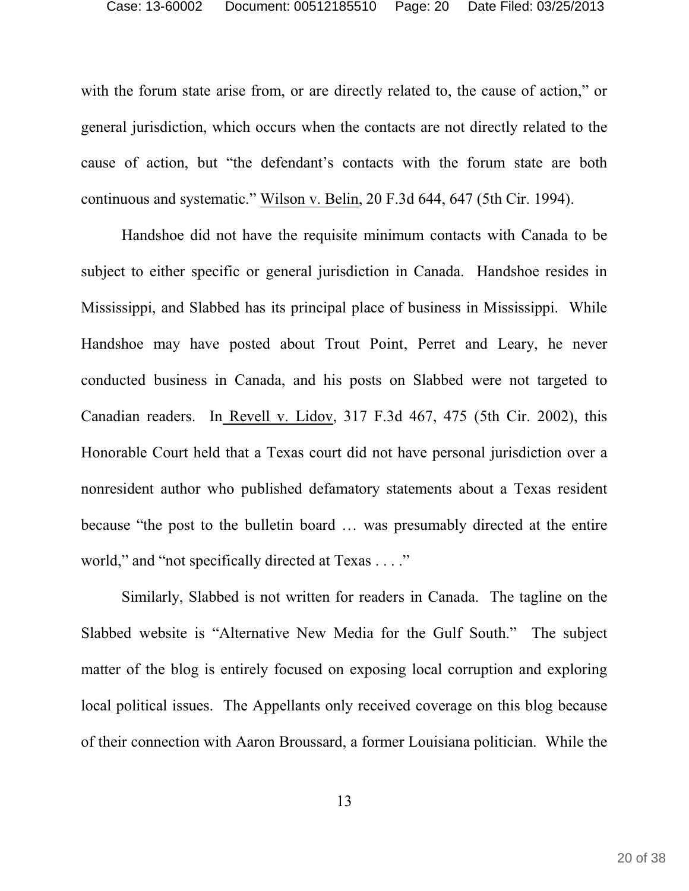with the forum state arise from, or are directly related to, the cause of action," or general jurisdiction, which occurs when the contacts are not directly related to the cause of action, but "the defendant's contacts with the forum state are both continuous and systematic." Wilson v. Belin, 20 F.3d 644, 647 (5th Cir. 1994).

Handshoe did not have the requisite minimum contacts with Canada to be subject to either specific or general jurisdiction in Canada. Handshoe resides in Mississippi, and Slabbed has its principal place of business in Mississippi. While Handshoe may have posted about Trout Point, Perret and Leary, he never conducted business in Canada, and his posts on Slabbed were not targeted to Canadian readers. In Revell v. Lidov, 317 F.3d 467, 475 (5th Cir. 2002), this Honorable Court held that a Texas court did not have personal jurisdiction over a nonresident author who published defamatory statements about a Texas resident because "the post to the bulletin board … was presumably directed at the entire world," and "not specifically directed at Texas . . . ."

Similarly, Slabbed is not written for readers in Canada. The tagline on the Slabbed website is "Alternative New Media for the Gulf South." The subject matter of the blog is entirely focused on exposing local corruption and exploring local political issues. The Appellants only received coverage on this blog because of their connection with Aaron Broussard, a former Louisiana politician. While the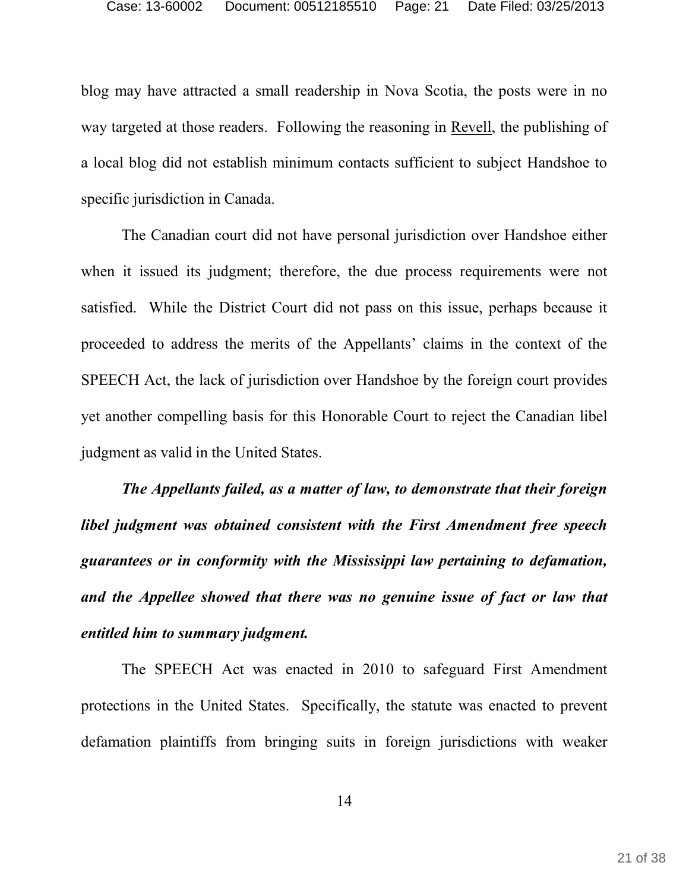blog may have attracted a small readership in Nova Scotia, the posts were in no way targeted at those readers. Following the reasoning in Revell, the publishing of a local blog did not establish minimum contacts sufficient to subject Handshoe to specific jurisdiction in Canada.

The Canadian court did not have personal jurisdiction over Handshoe either when it issued its judgment; therefore, the due process requirements were not satisfied. While the District Court did not pass on this issue, perhaps because it proceeded to address the merits of the Appellants' claims in the context of the SPEECH Act, the lack of jurisdiction over Handshoe by the foreign court provides yet another compelling basis for this Honorable Court to reject the Canadian libel judgment as valid in the United States.

*The Appellants failed, as a matter of law, to demonstrate that their foreign libel judgment was obtained consistent with the First Amendment free speech guarantees or in conformity with the Mississippi law pertaining to defamation, and the Appellee showed that there was no genuine issue of fact or law that entitled him to summary judgment.* 

The SPEECH Act was enacted in 2010 to safeguard First Amendment protections in the United States. Specifically, the statute was enacted to prevent defamation plaintiffs from bringing suits in foreign jurisdictions with weaker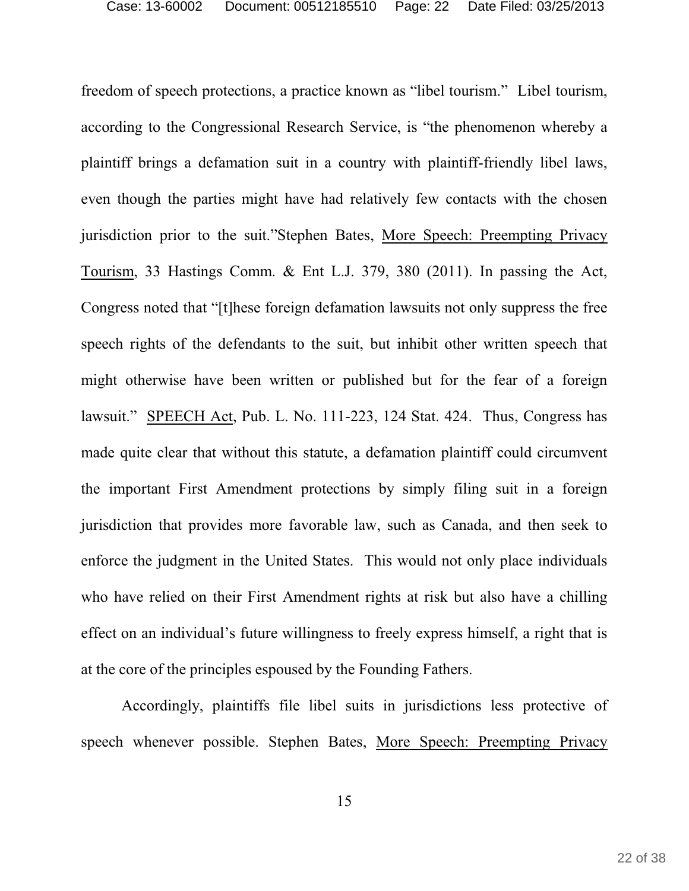freedom of speech protections, a practice known as "libel tourism." Libel tourism, according to the Congressional Research Service, is "the phenomenon whereby a plaintiff brings a defamation suit in a country with plaintiff-friendly libel laws, even though the parties might have had relatively few contacts with the chosen jurisdiction prior to the suit."Stephen Bates, More Speech: Preempting Privacy Tourism, 33 Hastings Comm. & Ent L.J. 379, 380 (2011). In passing the Act, Congress noted that "[t]hese foreign defamation lawsuits not only suppress the free speech rights of the defendants to the suit, but inhibit other written speech that might otherwise have been written or published but for the fear of a foreign lawsuit." SPEECH Act, Pub. L. No. 111-223, 124 Stat. 424. Thus, Congress has made quite clear that without this statute, a defamation plaintiff could circumvent the important First Amendment protections by simply filing suit in a foreign jurisdiction that provides more favorable law, such as Canada, and then seek to enforce the judgment in the United States. This would not only place individuals who have relied on their First Amendment rights at risk but also have a chilling effect on an individual's future willingness to freely express himself, a right that is at the core of the principles espoused by the Founding Fathers.

Accordingly, plaintiffs file libel suits in jurisdictions less protective of speech whenever possible. Stephen Bates, More Speech: Preempting Privacy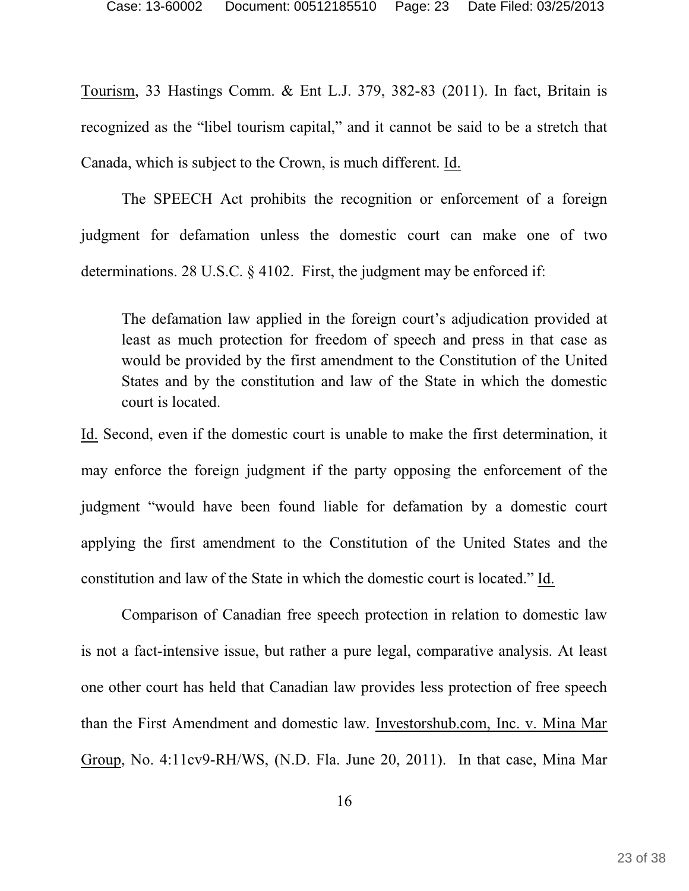Tourism, 33 Hastings Comm. & Ent L.J. 379, 382-83 (2011). In fact, Britain is recognized as the "libel tourism capital," and it cannot be said to be a stretch that Canada, which is subject to the Crown, is much different. Id.

The SPEECH Act prohibits the recognition or enforcement of a foreign judgment for defamation unless the domestic court can make one of two determinations. 28 U.S.C. § 4102. First, the judgment may be enforced if:

The defamation law applied in the foreign court's adjudication provided at least as much protection for freedom of speech and press in that case as would be provided by the first amendment to the Constitution of the United States and by the constitution and law of the State in which the domestic court is located.

Id. Second, even if the domestic court is unable to make the first determination, it may enforce the foreign judgment if the party opposing the enforcement of the judgment "would have been found liable for defamation by a domestic court applying the first amendment to the Constitution of the United States and the constitution and law of the State in which the domestic court is located." Id.

Comparison of Canadian free speech protection in relation to domestic law is not a fact-intensive issue, but rather a pure legal, comparative analysis. At least one other court has held that Canadian law provides less protection of free speech than the First Amendment and domestic law. Investorshub.com, Inc. v. Mina Mar Group, No. 4:11cv9-RH/WS, (N.D. Fla. June 20, 2011). In that case, Mina Mar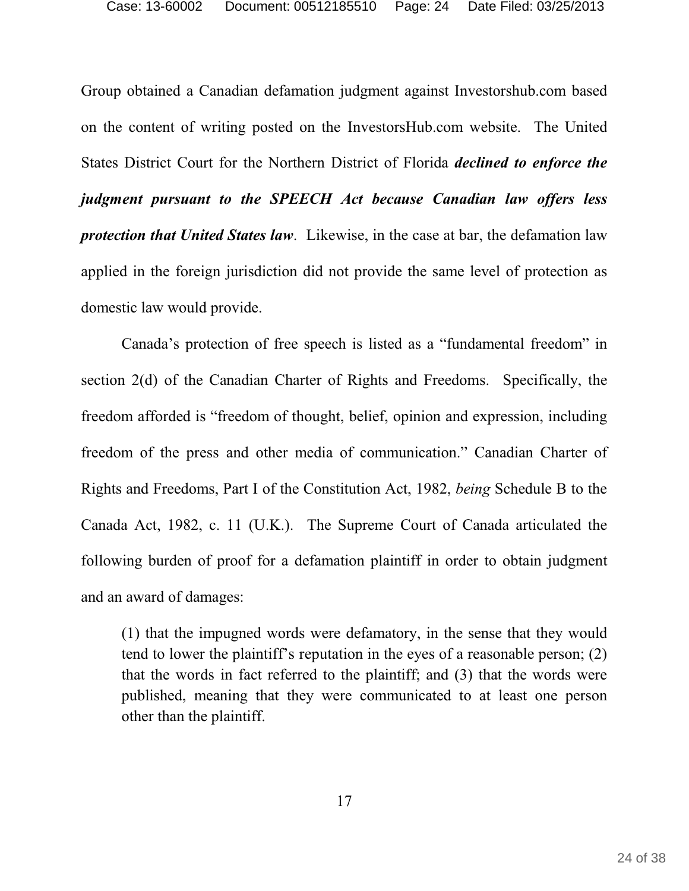Group obtained a Canadian defamation judgment against Investorshub.com based on the content of writing posted on the InvestorsHub.com website. The United States District Court for the Northern District of Florida *declined to enforce the judgment pursuant to the SPEECH Act because Canadian law offers less protection that United States law*. Likewise, in the case at bar, the defamation law applied in the foreign jurisdiction did not provide the same level of protection as domestic law would provide.

Canada's protection of free speech is listed as a "fundamental freedom" in section 2(d) of the Canadian Charter of Rights and Freedoms. Specifically, the freedom afforded is "freedom of thought, belief, opinion and expression, including freedom of the press and other media of communication." Canadian Charter of Rights and Freedoms, Part I of the Constitution Act, 1982, *being* Schedule B to the Canada Act, 1982, c. 11 (U.K.). The Supreme Court of Canada articulated the following burden of proof for a defamation plaintiff in order to obtain judgment and an award of damages:

(1) that the impugned words were defamatory, in the sense that they would tend to lower the plaintiff's reputation in the eyes of a reasonable person; (2) that the words in fact referred to the plaintiff; and (3) that the words were published, meaning that they were communicated to at least one person other than the plaintiff.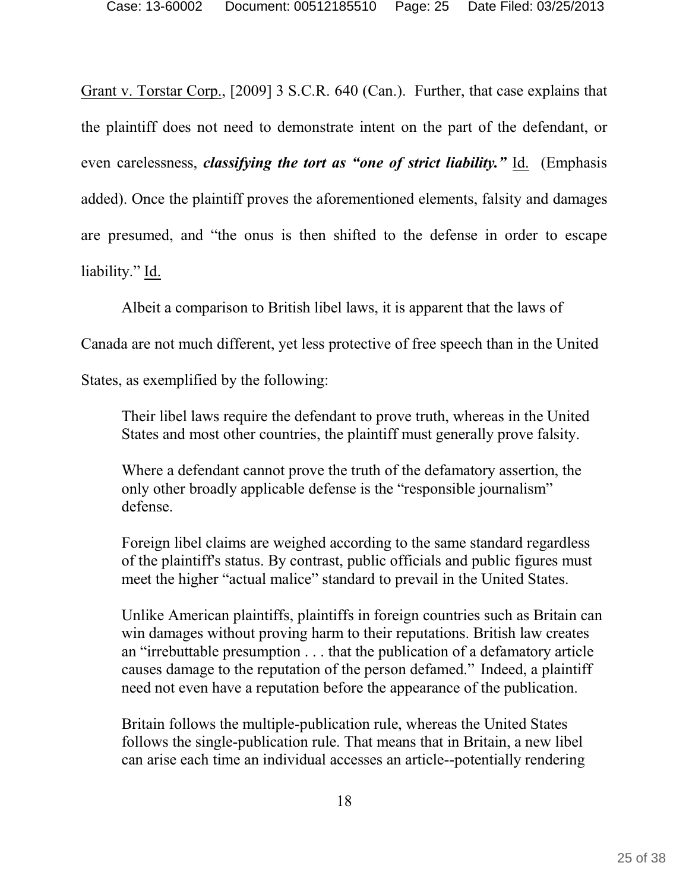Grant v. Torstar Corp., [2009] 3 S.C.R. 640 (Can.). Further, that case explains that the plaintiff does not need to demonstrate intent on the part of the defendant, or even carelessness, *classifying the tort as "one of strict liability."* Id. (Emphasis added). Once the plaintiff proves the aforementioned elements, falsity and damages are presumed, and "the onus is then shifted to the defense in order to escape liability." Id.

Albeit a comparison to British libel laws, it is apparent that the laws of

Canada are not much different, yet less protective of free speech than in the United

States, as exemplified by the following:

Their libel laws require the defendant to prove truth, whereas in the United States and most other countries, the plaintiff must generally prove falsity.

Where a defendant cannot prove the truth of the defamatory assertion, the only other broadly applicable defense is the "responsible journalism" defense.

Foreign libel claims are weighed according to the same standard regardless of the plaintiff's status. By contrast, public officials and public figures must meet the higher "actual malice" standard to prevail in the United States.

Unlike American plaintiffs, plaintiffs in foreign countries such as Britain can win damages without proving harm to their reputations. British law creates an "irrebuttable presumption . . . that the publication of a defamatory article causes damage to the reputation of the person defamed." Indeed, a plaintiff need not even have a reputation before the appearance of the publication.

Britain follows the multiple-publication rule, whereas the United States follows the single-publication rule. That means that in Britain, a new libel can arise each time an individual accesses an article--potentially rendering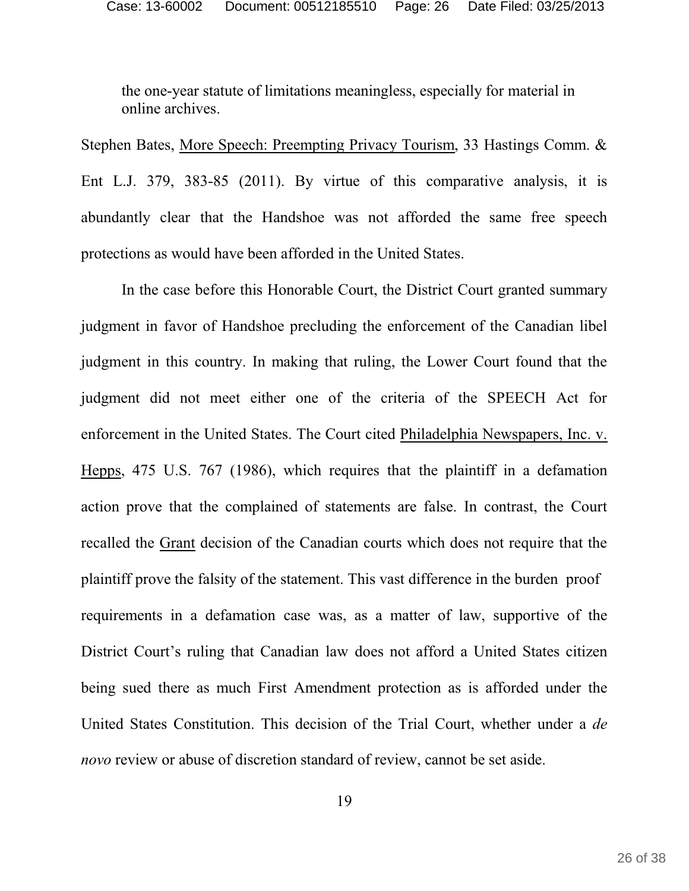the one-year statute of limitations meaningless, especially for material in online archives.

Stephen Bates, More Speech: Preempting Privacy Tourism, 33 Hastings Comm. & Ent L.J. 379, 383-85 (2011). By virtue of this comparative analysis, it is abundantly clear that the Handshoe was not afforded the same free speech protections as would have been afforded in the United States.

In the case before this Honorable Court, the District Court granted summary judgment in favor of Handshoe precluding the enforcement of the Canadian libel judgment in this country. In making that ruling, the Lower Court found that the judgment did not meet either one of the criteria of the SPEECH Act for enforcement in the United States. The Court cited Philadelphia Newspapers, Inc. v. Hepps, 475 U.S. 767 (1986), which requires that the plaintiff in a defamation action prove that the complained of statements are false. In contrast, the Court recalled the Grant decision of the Canadian courts which does not require that the plaintiff prove the falsity of the statement. This vast difference in the burden proof requirements in a defamation case was, as a matter of law, supportive of the District Court's ruling that Canadian law does not afford a United States citizen being sued there as much First Amendment protection as is afforded under the United States Constitution. This decision of the Trial Court, whether under a *de novo* review or abuse of discretion standard of review, cannot be set aside.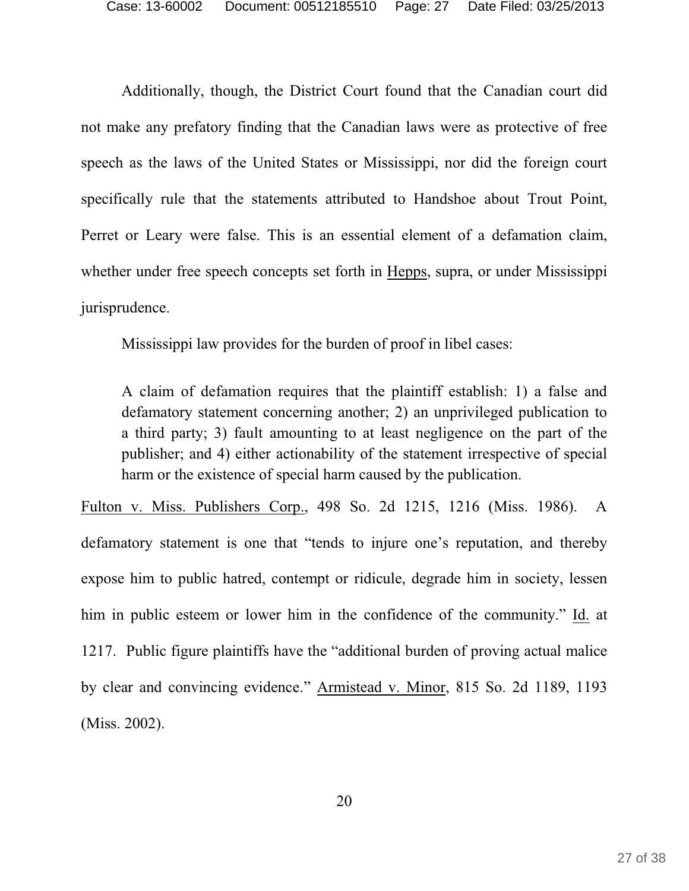Additionally, though, the District Court found that the Canadian court did not make any prefatory finding that the Canadian laws were as protective of free speech as the laws of the United States or Mississippi, nor did the foreign court specifically rule that the statements attributed to Handshoe about Trout Point, Perret or Leary were false. This is an essential element of a defamation claim, whether under free speech concepts set forth in Hepps, supra, or under Mississippi jurisprudence.

Mississippi law provides for the burden of proof in libel cases:

A claim of defamation requires that the plaintiff establish: 1) a false and defamatory statement concerning another; 2) an unprivileged publication to a third party; 3) fault amounting to at least negligence on the part of the publisher; and 4) either actionability of the statement irrespective of special harm or the existence of special harm caused by the publication.

Fulton v. Miss. Publishers Corp., 498 So. 2d 1215, 1216 (Miss. 1986). A defamatory statement is one that "tends to injure one's reputation, and thereby expose him to public hatred, contempt or ridicule, degrade him in society, lessen him in public esteem or lower him in the confidence of the community." Id. at 1217. Public figure plaintiffs have the "additional burden of proving actual malice by clear and convincing evidence." Armistead v. Minor, 815 So. 2d 1189, 1193 (Miss. 2002).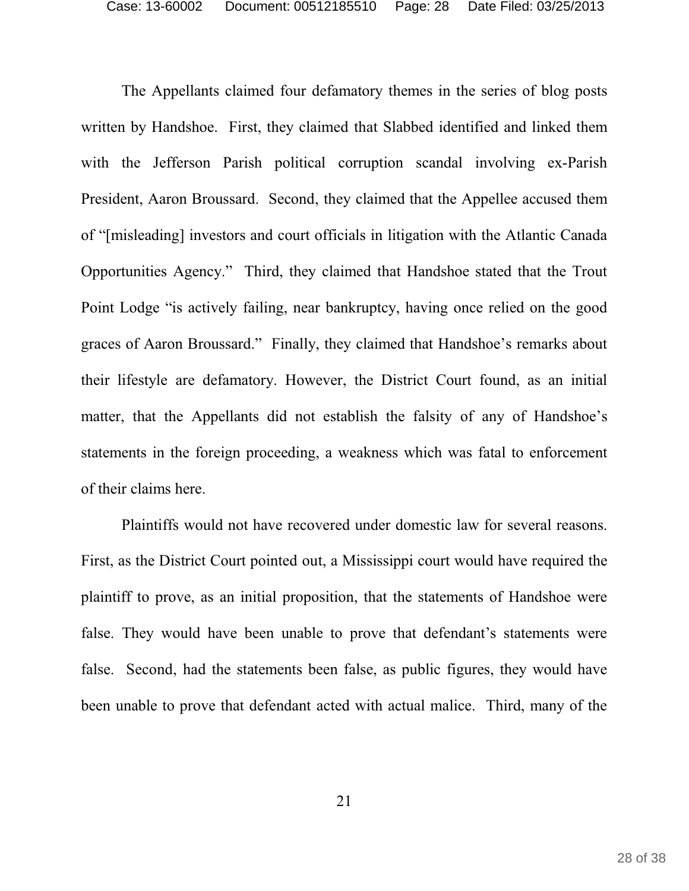The Appellants claimed four defamatory themes in the series of blog posts written by Handshoe. First, they claimed that Slabbed identified and linked them with the Jefferson Parish political corruption scandal involving ex-Parish President, Aaron Broussard. Second, they claimed that the Appellee accused them of "[misleading] investors and court officials in litigation with the Atlantic Canada Opportunities Agency." Third, they claimed that Handshoe stated that the Trout Point Lodge "is actively failing, near bankruptcy, having once relied on the good graces of Aaron Broussard." Finally, they claimed that Handshoe's remarks about their lifestyle are defamatory. However, the District Court found, as an initial matter, that the Appellants did not establish the falsity of any of Handshoe's statements in the foreign proceeding, a weakness which was fatal to enforcement of their claims here.

Plaintiffs would not have recovered under domestic law for several reasons. First, as the District Court pointed out, a Mississippi court would have required the plaintiff to prove, as an initial proposition, that the statements of Handshoe were false. They would have been unable to prove that defendant's statements were false. Second, had the statements been false, as public figures, they would have been unable to prove that defendant acted with actual malice. Third, many of the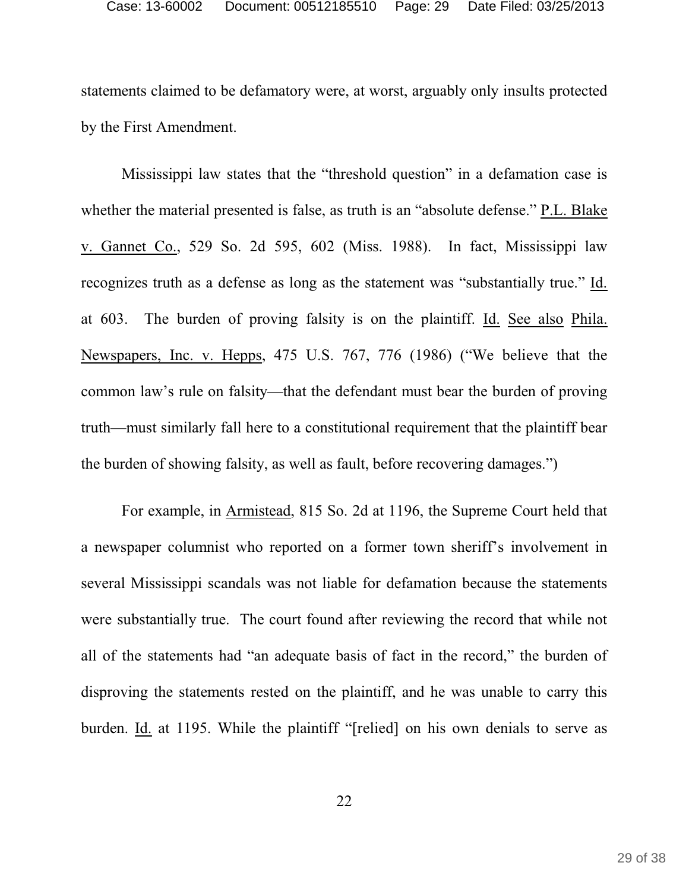statements claimed to be defamatory were, at worst, arguably only insults protected by the First Amendment.

Mississippi law states that the "threshold question" in a defamation case is whether the material presented is false, as truth is an "absolute defense." P.L. Blake v. Gannet Co., 529 So. 2d 595, 602 (Miss. 1988). In fact, Mississippi law recognizes truth as a defense as long as the statement was "substantially true." Id. at 603. The burden of proving falsity is on the plaintiff. Id. See also Phila. Newspapers, Inc. v. Hepps, 475 U.S. 767, 776 (1986) ("We believe that the common law's rule on falsity—that the defendant must bear the burden of proving truth—must similarly fall here to a constitutional requirement that the plaintiff bear the burden of showing falsity, as well as fault, before recovering damages.")

For example, in Armistead, 815 So. 2d at 1196, the Supreme Court held that a newspaper columnist who reported on a former town sheriff's involvement in several Mississippi scandals was not liable for defamation because the statements were substantially true. The court found after reviewing the record that while not all of the statements had "an adequate basis of fact in the record," the burden of disproving the statements rested on the plaintiff, and he was unable to carry this burden. Id. at 1195. While the plaintiff "[relied] on his own denials to serve as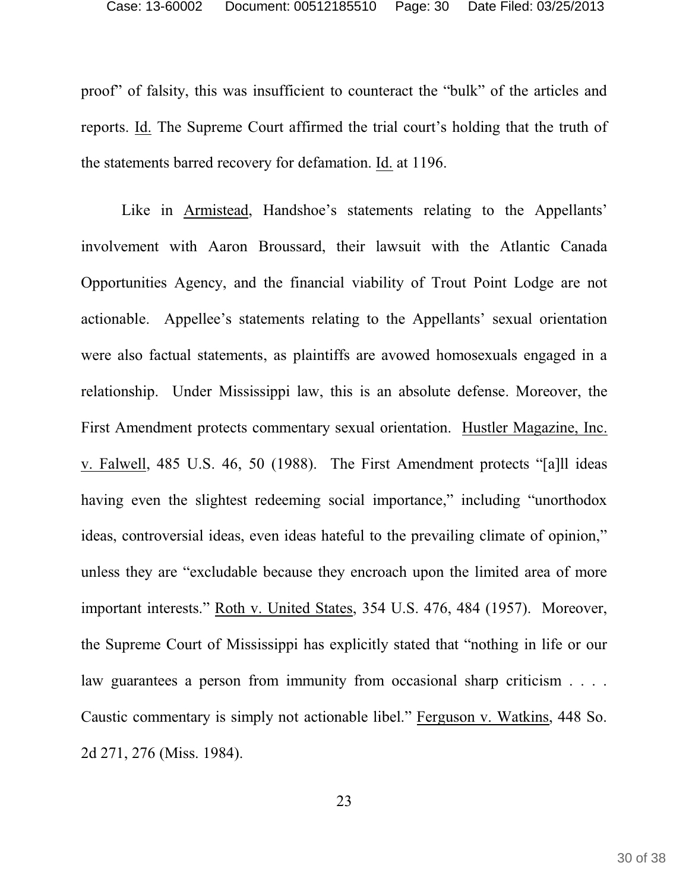proof" of falsity, this was insufficient to counteract the "bulk" of the articles and reports. Id. The Supreme Court affirmed the trial court's holding that the truth of the statements barred recovery for defamation. Id. at 1196.

Like in Armistead, Handshoe's statements relating to the Appellants' involvement with Aaron Broussard, their lawsuit with the Atlantic Canada Opportunities Agency, and the financial viability of Trout Point Lodge are not actionable. Appellee's statements relating to the Appellants' sexual orientation were also factual statements, as plaintiffs are avowed homosexuals engaged in a relationship. Under Mississippi law, this is an absolute defense. Moreover, the First Amendment protects commentary sexual orientation. Hustler Magazine, Inc. v. Falwell, 485 U.S. 46, 50 (1988). The First Amendment protects "[a]ll ideas having even the slightest redeeming social importance," including "unorthodox" ideas, controversial ideas, even ideas hateful to the prevailing climate of opinion," unless they are "excludable because they encroach upon the limited area of more important interests." Roth v. United States, 354 U.S. 476, 484 (1957). Moreover, the Supreme Court of Mississippi has explicitly stated that "nothing in life or our law guarantees a person from immunity from occasional sharp criticism . . . . Caustic commentary is simply not actionable libel." Ferguson v. Watkins, 448 So. 2d 271, 276 (Miss. 1984).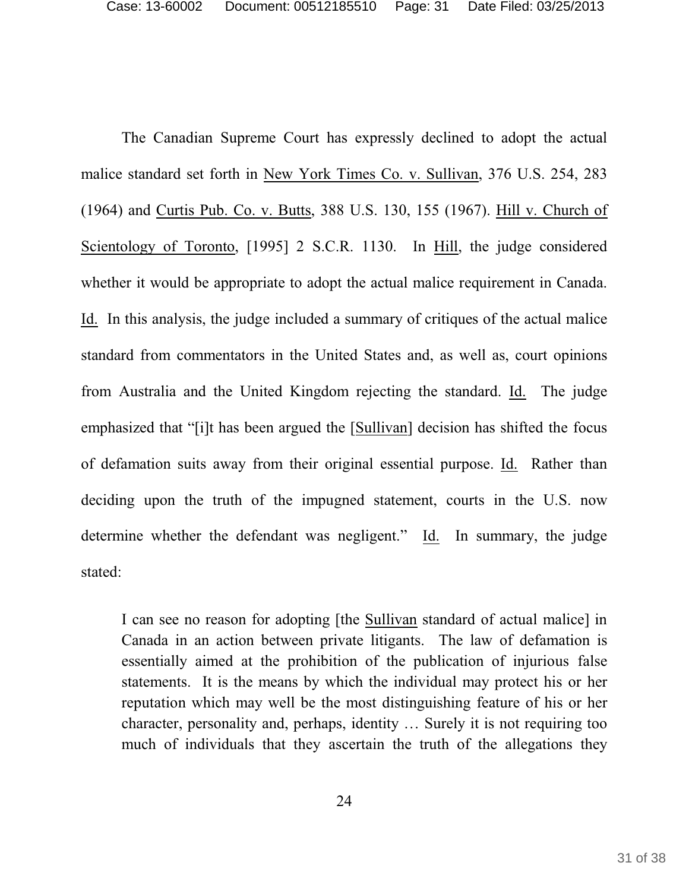The Canadian Supreme Court has expressly declined to adopt the actual malice standard set forth in New York Times Co. v. Sullivan, 376 U.S. 254, 283 (1964) and Curtis Pub. Co. v. Butts, 388 U.S. 130, 155 (1967). Hill v. Church of Scientology of Toronto, [1995] 2 S.C.R. 1130. In Hill, the judge considered whether it would be appropriate to adopt the actual malice requirement in Canada. Id. In this analysis, the judge included a summary of critiques of the actual malice standard from commentators in the United States and, as well as, court opinions from Australia and the United Kingdom rejecting the standard. Id. The judge emphasized that "[i]t has been argued the [Sullivan] decision has shifted the focus of defamation suits away from their original essential purpose. Id. Rather than deciding upon the truth of the impugned statement, courts in the U.S. now determine whether the defendant was negligent." Id. In summary, the judge stated:

I can see no reason for adopting [the Sullivan standard of actual malice] in Canada in an action between private litigants. The law of defamation is essentially aimed at the prohibition of the publication of injurious false statements. It is the means by which the individual may protect his or her reputation which may well be the most distinguishing feature of his or her character, personality and, perhaps, identity … Surely it is not requiring too much of individuals that they ascertain the truth of the allegations they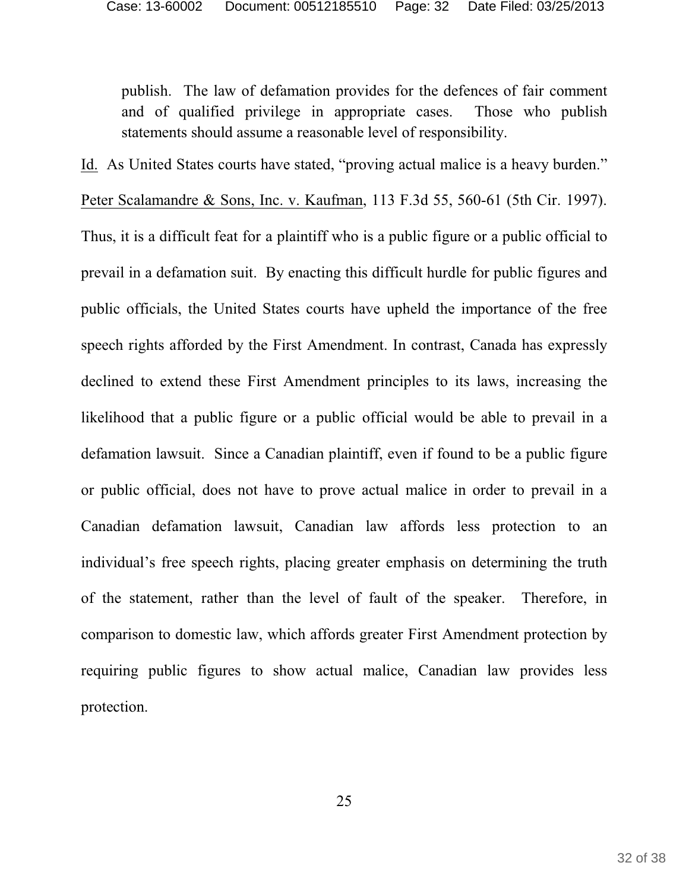publish. The law of defamation provides for the defences of fair comment and of qualified privilege in appropriate cases. Those who publish statements should assume a reasonable level of responsibility.

Id. As United States courts have stated, "proving actual malice is a heavy burden."

Peter Scalamandre & Sons, Inc. v. Kaufman, 113 F.3d 55, 560-61 (5th Cir. 1997). Thus, it is a difficult feat for a plaintiff who is a public figure or a public official to prevail in a defamation suit. By enacting this difficult hurdle for public figures and public officials, the United States courts have upheld the importance of the free speech rights afforded by the First Amendment. In contrast, Canada has expressly declined to extend these First Amendment principles to its laws, increasing the likelihood that a public figure or a public official would be able to prevail in a defamation lawsuit. Since a Canadian plaintiff, even if found to be a public figure or public official, does not have to prove actual malice in order to prevail in a Canadian defamation lawsuit, Canadian law affords less protection to an individual's free speech rights, placing greater emphasis on determining the truth of the statement, rather than the level of fault of the speaker. Therefore, in comparison to domestic law, which affords greater First Amendment protection by requiring public figures to show actual malice, Canadian law provides less protection.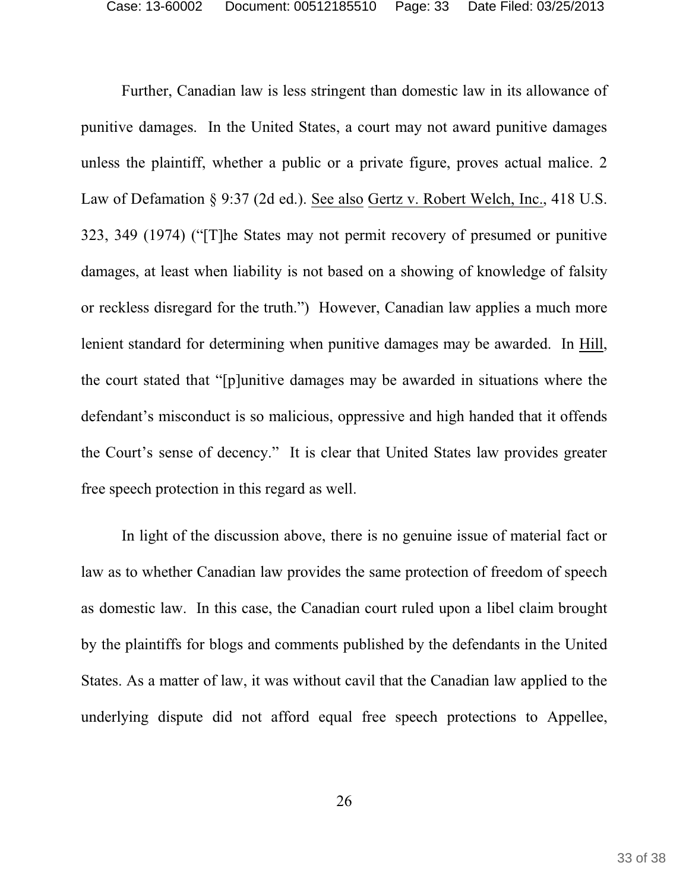Further, Canadian law is less stringent than domestic law in its allowance of punitive damages. In the United States, a court may not award punitive damages unless the plaintiff, whether a public or a private figure, proves actual malice. 2 Law of Defamation § 9:37 (2d ed.). See also Gertz v. Robert Welch, Inc., 418 U.S. 323, 349 (1974) ("[T]he States may not permit recovery of presumed or punitive damages, at least when liability is not based on a showing of knowledge of falsity or reckless disregard for the truth.") However, Canadian law applies a much more lenient standard for determining when punitive damages may be awarded. In Hill, the court stated that "[p]unitive damages may be awarded in situations where the defendant's misconduct is so malicious, oppressive and high handed that it offends the Court's sense of decency." It is clear that United States law provides greater free speech protection in this regard as well.

In light of the discussion above, there is no genuine issue of material fact or law as to whether Canadian law provides the same protection of freedom of speech as domestic law. In this case, the Canadian court ruled upon a libel claim brought by the plaintiffs for blogs and comments published by the defendants in the United States. As a matter of law, it was without cavil that the Canadian law applied to the underlying dispute did not afford equal free speech protections to Appellee,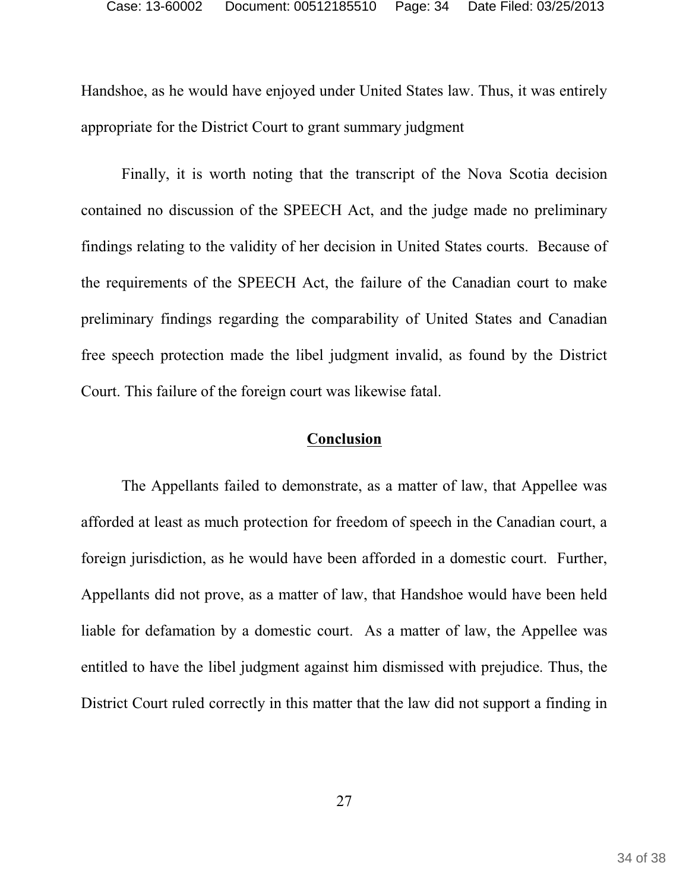Handshoe, as he would have enjoyed under United States law. Thus, it was entirely appropriate for the District Court to grant summary judgment

Finally, it is worth noting that the transcript of the Nova Scotia decision contained no discussion of the SPEECH Act, and the judge made no preliminary findings relating to the validity of her decision in United States courts. Because of the requirements of the SPEECH Act, the failure of the Canadian court to make preliminary findings regarding the comparability of United States and Canadian free speech protection made the libel judgment invalid, as found by the District Court. This failure of the foreign court was likewise fatal.

#### **Conclusion**

The Appellants failed to demonstrate, as a matter of law, that Appellee was afforded at least as much protection for freedom of speech in the Canadian court, a foreign jurisdiction, as he would have been afforded in a domestic court. Further, Appellants did not prove, as a matter of law, that Handshoe would have been held liable for defamation by a domestic court. As a matter of law, the Appellee was entitled to have the libel judgment against him dismissed with prejudice. Thus, the District Court ruled correctly in this matter that the law did not support a finding in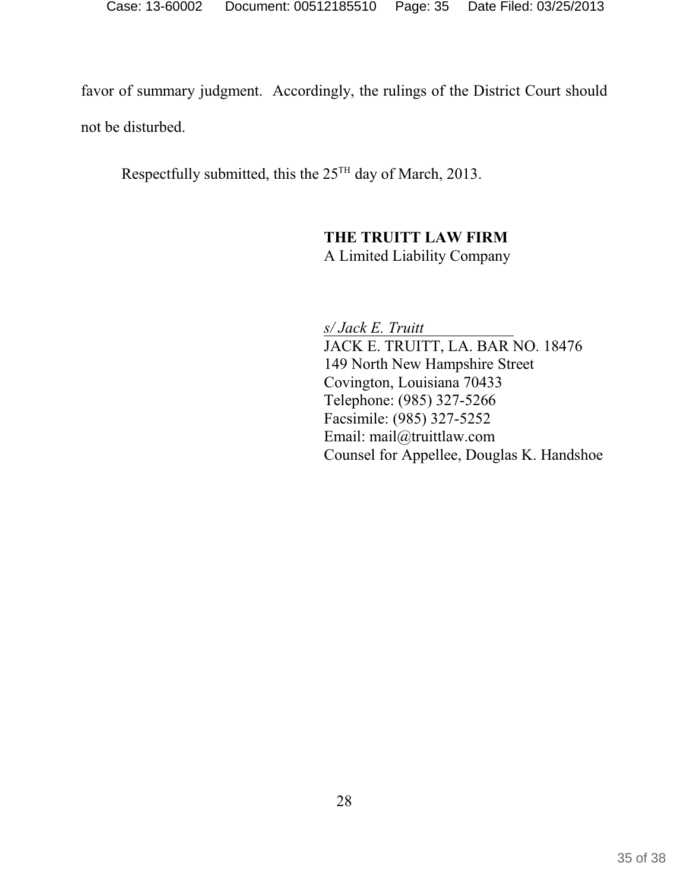favor of summary judgment. Accordingly, the rulings of the District Court should not be disturbed.

Respectfully submitted, this the  $25<sup>TH</sup>$  day of March, 2013.

## **THE TRUITT LAW FIRM** A Limited Liability Company

*s/ Jack E. Truitt*  JACK E. TRUITT, LA. BAR NO. 18476 149 North New Hampshire Street Covington, Louisiana 70433 Telephone: (985) 327-5266 Facsimile: (985) 327-5252 Email: mail@truittlaw.com Counsel for Appellee, Douglas K. Handshoe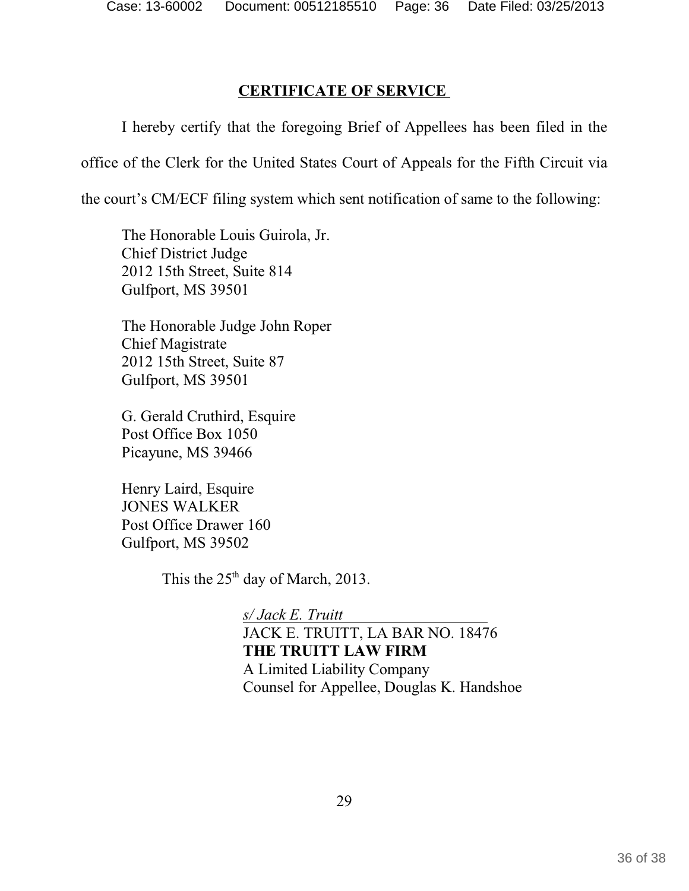# **CERTIFICATE OF SERVICE**

I hereby certify that the foregoing Brief of Appellees has been filed in the office of the Clerk for the United States Court of Appeals for the Fifth Circuit via the court's CM/ECF filing system which sent notification of same to the following:

The Honorable Louis Guirola, Jr. Chief District Judge 2012 15th Street, Suite 814 Gulfport, MS 39501

The Honorable Judge John Roper Chief Magistrate 2012 15th Street, Suite 87 Gulfport, MS 39501

G. Gerald Cruthird, Esquire Post Office Box 1050 Picayune, MS 39466

Henry Laird, Esquire JONES WALKER Post Office Drawer 160 Gulfport, MS 39502

This the  $25<sup>th</sup>$  day of March, 2013.

*s/ Jack E. Truitt* JACK E. TRUITT, LA BAR NO. 18476 **THE TRUITT LAW FIRM** A Limited Liability Company Counsel for Appellee, Douglas K. Handshoe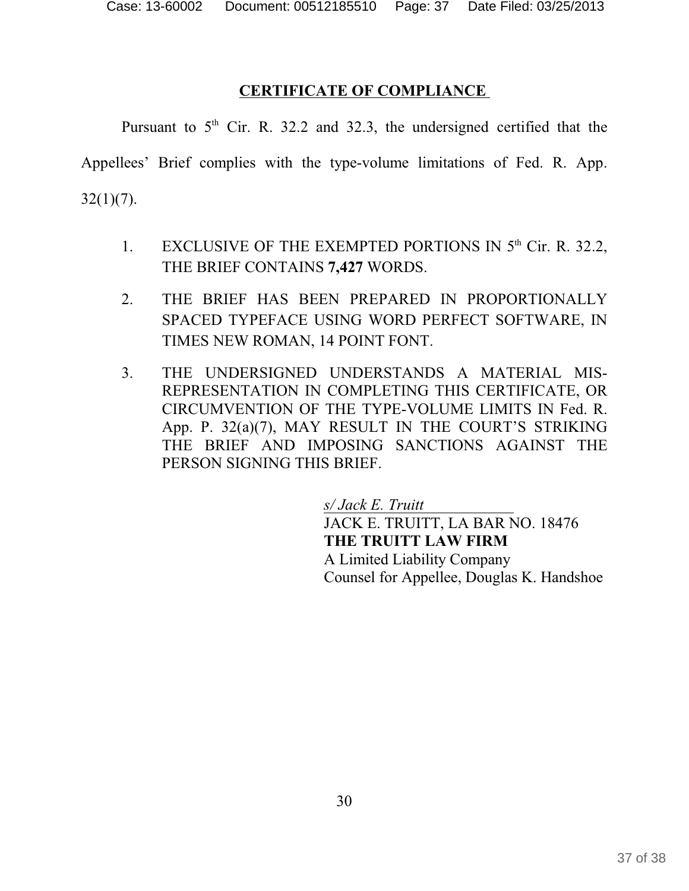# **CERTIFICATE OF COMPLIANCE**

Pursuant to  $5<sup>th</sup>$  Cir. R. 32.2 and 32.3, the undersigned certified that the

Appellees' Brief complies with the type-volume limitations of Fed. R. App.  $32(1)(7)$ .

- 1. EXCLUSIVE OF THE EXEMPTED PORTIONS IN  $5<sup>th</sup>$  Cir. R. 32.2, THE BRIEF CONTAINS **7,427** WORDS.
- 2. THE BRIEF HAS BEEN PREPARED IN PROPORTIONALLY SPACED TYPEFACE USING WORD PERFECT SOFTWARE, IN TIMES NEW ROMAN, 14 POINT FONT.
- 3. THE UNDERSIGNED UNDERSTANDS A MATERIAL MIS-REPRESENTATION IN COMPLETING THIS CERTIFICATE, OR CIRCUMVENTION OF THE TYPE-VOLUME LIMITS IN Fed. R. App. P. 32(a)(7), MAY RESULT IN THE COURT'S STRIKING THE BRIEF AND IMPOSING SANCTIONS AGAINST THE PERSON SIGNING THIS BRIEF.

*s/ Jack E. Truitt*  JACK E. TRUITT, LA BAR NO. 18476 **THE TRUITT LAW FIRM** A Limited Liability Company Counsel for Appellee, Douglas K. Handshoe